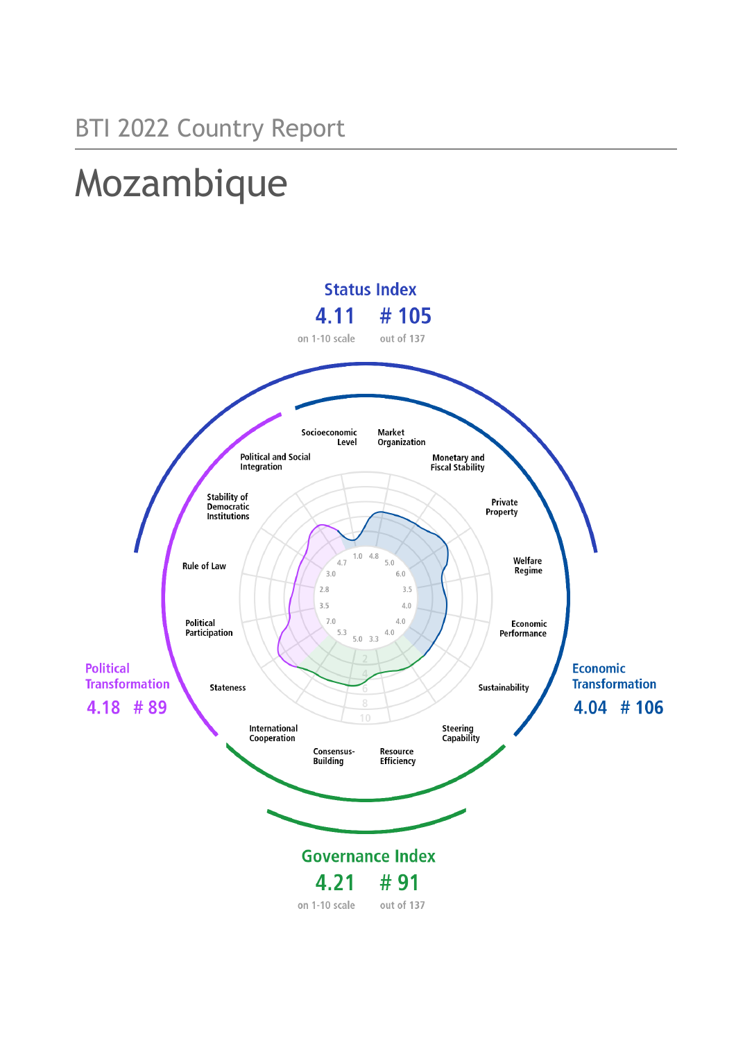# Mozambique

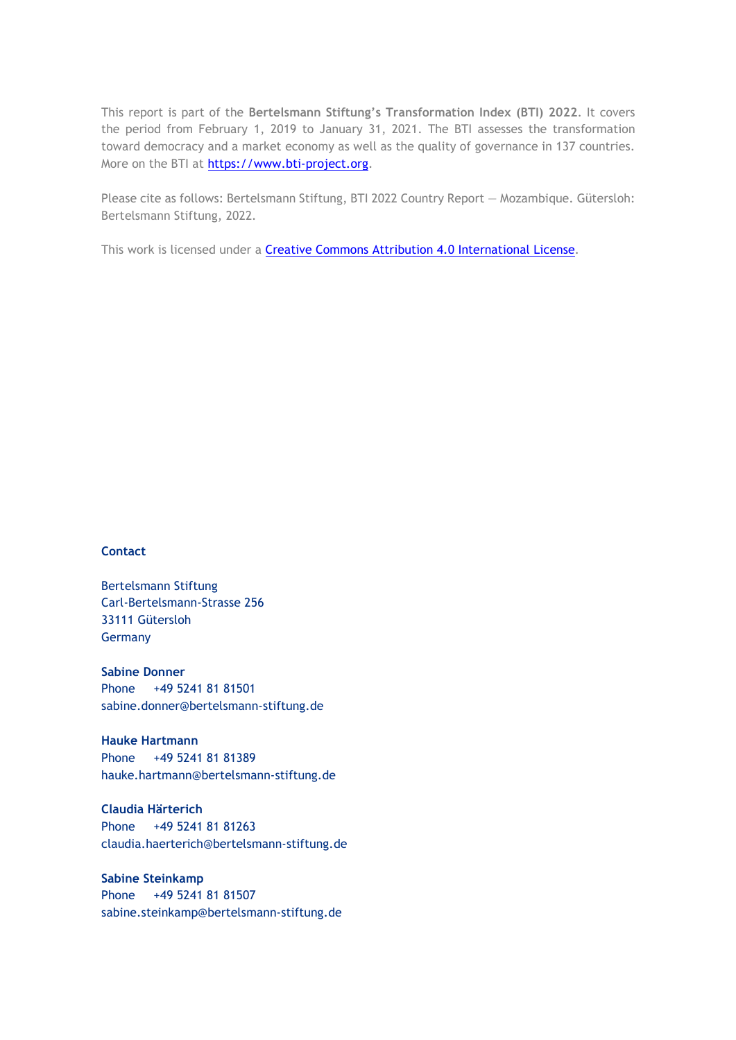This report is part of the **Bertelsmann Stiftung's Transformation Index (BTI) 2022**. It covers the period from February 1, 2019 to January 31, 2021. The BTI assesses the transformation toward democracy and a market economy as well as the quality of governance in 137 countries. More on the BTI at [https://www.bti-project.org.](https://www.bti-project.org/)

Please cite as follows: Bertelsmann Stiftung, BTI 2022 Country Report — Mozambique. Gütersloh: Bertelsmann Stiftung, 2022.

This work is licensed under a **Creative Commons Attribution 4.0 International License**.

#### **Contact**

Bertelsmann Stiftung Carl-Bertelsmann-Strasse 256 33111 Gütersloh Germany

**Sabine Donner** Phone +49 5241 81 81501 sabine.donner@bertelsmann-stiftung.de

**Hauke Hartmann** Phone +49 5241 81 81389 hauke.hartmann@bertelsmann-stiftung.de

**Claudia Härterich** Phone +49 5241 81 81263 claudia.haerterich@bertelsmann-stiftung.de

#### **Sabine Steinkamp** Phone +49 5241 81 81507 sabine.steinkamp@bertelsmann-stiftung.de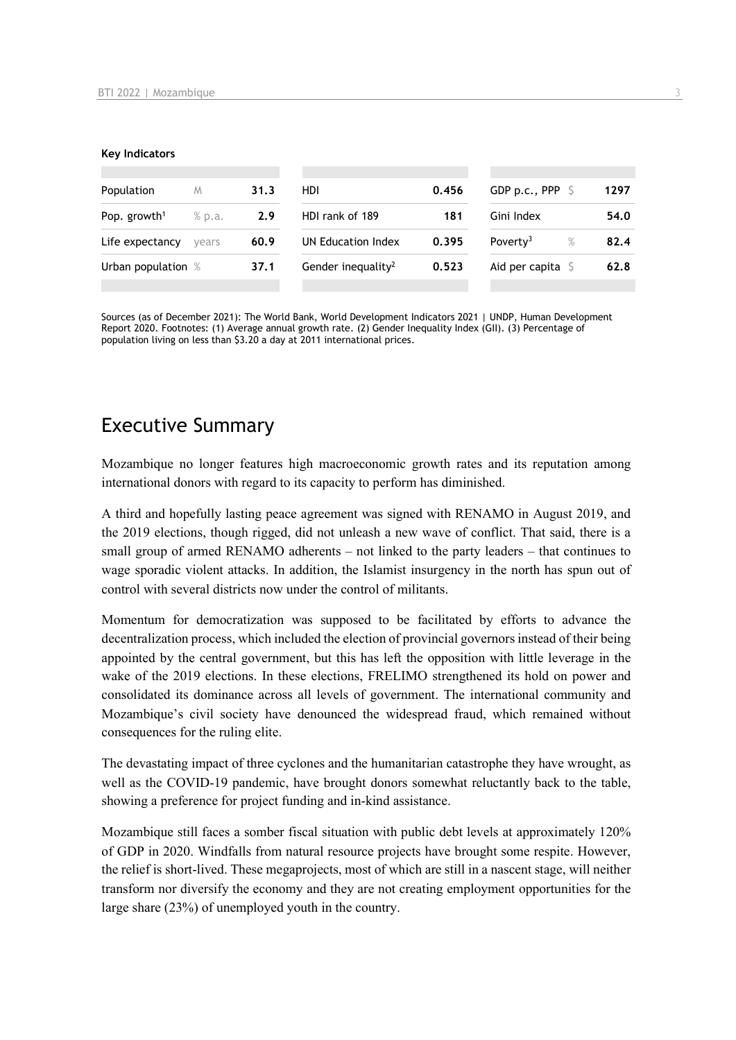#### **Key Indicators**

| Population               | M      | 31.3 | HDI                            | 0.456 | GDP p.c., PPP $\sqrt{5}$     | 1297 |
|--------------------------|--------|------|--------------------------------|-------|------------------------------|------|
| Pop. growth <sup>1</sup> | % p.a. | 2.9  | HDI rank of 189<br>181         |       | Gini Index                   | 54.0 |
| Life expectancy          | vears  | 60.9 | UN Education Index             | 0.395 | $\%$<br>Poverty <sup>3</sup> | 82.4 |
| Urban population %       |        | 37.1 | Gender inequality <sup>2</sup> | 0.523 | Aid per capita $\mathsf S$   | 62.8 |
|                          |        |      |                                |       |                              |      |

Sources (as of December 2021): The World Bank, World Development Indicators 2021 | UNDP, Human Development Report 2020. Footnotes: (1) Average annual growth rate. (2) Gender Inequality Index (GII). (3) Percentage of population living on less than \$3.20 a day at 2011 international prices.

## Executive Summary

Mozambique no longer features high macroeconomic growth rates and its reputation among international donors with regard to its capacity to perform has diminished.

A third and hopefully lasting peace agreement was signed with RENAMO in August 2019, and the 2019 elections, though rigged, did not unleash a new wave of conflict. That said, there is a small group of armed RENAMO adherents – not linked to the party leaders – that continues to wage sporadic violent attacks. In addition, the Islamist insurgency in the north has spun out of control with several districts now under the control of militants.

Momentum for democratization was supposed to be facilitated by efforts to advance the decentralization process, which included the election of provincial governors instead of their being appointed by the central government, but this has left the opposition with little leverage in the wake of the 2019 elections. In these elections, FRELIMO strengthened its hold on power and consolidated its dominance across all levels of government. The international community and Mozambique's civil society have denounced the widespread fraud, which remained without consequences for the ruling elite.

The devastating impact of three cyclones and the humanitarian catastrophe they have wrought, as well as the COVID-19 pandemic, have brought donors somewhat reluctantly back to the table, showing a preference for project funding and in-kind assistance.

Mozambique still faces a somber fiscal situation with public debt levels at approximately 120% of GDP in 2020. Windfalls from natural resource projects have brought some respite. However, the relief is short-lived. These megaprojects, most of which are still in a nascent stage, will neither transform nor diversify the economy and they are not creating employment opportunities for the large share (23%) of unemployed youth in the country.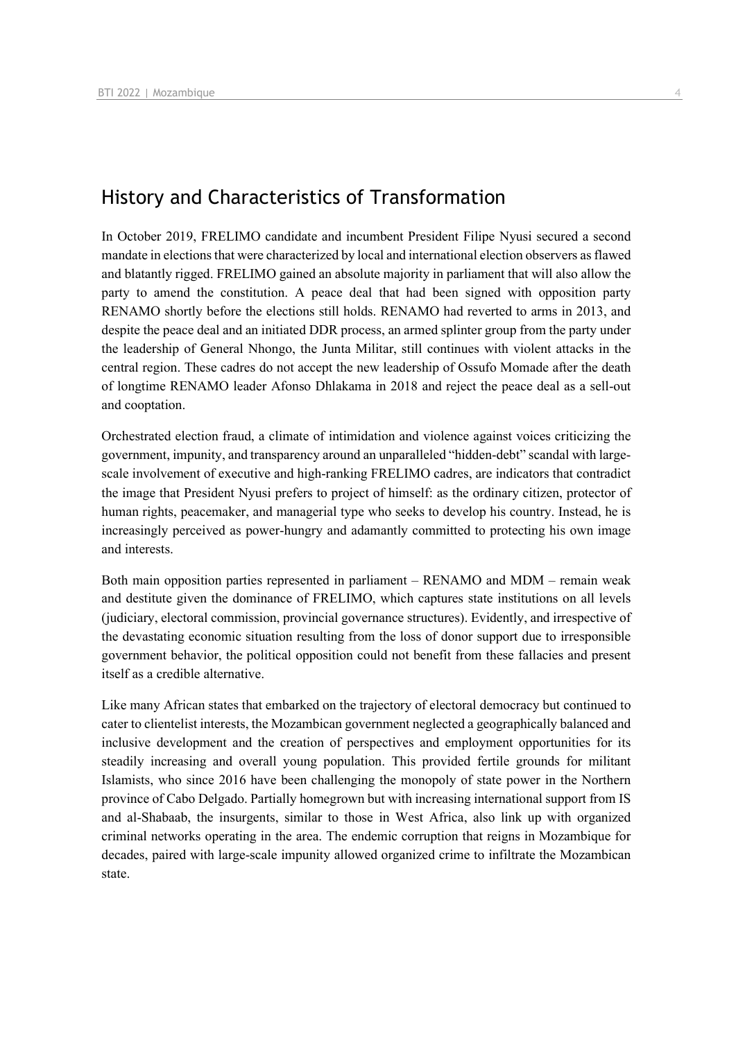## History and Characteristics of Transformation

In October 2019, FRELIMO candidate and incumbent President Filipe Nyusi secured a second mandate in elections that were characterized by local and international election observers as flawed and blatantly rigged. FRELIMO gained an absolute majority in parliament that will also allow the party to amend the constitution. A peace deal that had been signed with opposition party RENAMO shortly before the elections still holds. RENAMO had reverted to arms in 2013, and despite the peace deal and an initiated DDR process, an armed splinter group from the party under the leadership of General Nhongo, the Junta Militar, still continues with violent attacks in the central region. These cadres do not accept the new leadership of Ossufo Momade after the death of longtime RENAMO leader Afonso Dhlakama in 2018 and reject the peace deal as a sell-out and cooptation.

Orchestrated election fraud, a climate of intimidation and violence against voices criticizing the government, impunity, and transparency around an unparalleled "hidden-debt" scandal with largescale involvement of executive and high-ranking FRELIMO cadres, are indicators that contradict the image that President Nyusi prefers to project of himself: as the ordinary citizen, protector of human rights, peacemaker, and managerial type who seeks to develop his country. Instead, he is increasingly perceived as power-hungry and adamantly committed to protecting his own image and interests.

Both main opposition parties represented in parliament – RENAMO and MDM – remain weak and destitute given the dominance of FRELIMO, which captures state institutions on all levels (judiciary, electoral commission, provincial governance structures). Evidently, and irrespective of the devastating economic situation resulting from the loss of donor support due to irresponsible government behavior, the political opposition could not benefit from these fallacies and present itself as a credible alternative.

Like many African states that embarked on the trajectory of electoral democracy but continued to cater to clientelist interests, the Mozambican government neglected a geographically balanced and inclusive development and the creation of perspectives and employment opportunities for its steadily increasing and overall young population. This provided fertile grounds for militant Islamists, who since 2016 have been challenging the monopoly of state power in the Northern province of Cabo Delgado. Partially homegrown but with increasing international support from IS and al-Shabaab, the insurgents, similar to those in West Africa, also link up with organized criminal networks operating in the area. The endemic corruption that reigns in Mozambique for decades, paired with large-scale impunity allowed organized crime to infiltrate the Mozambican state.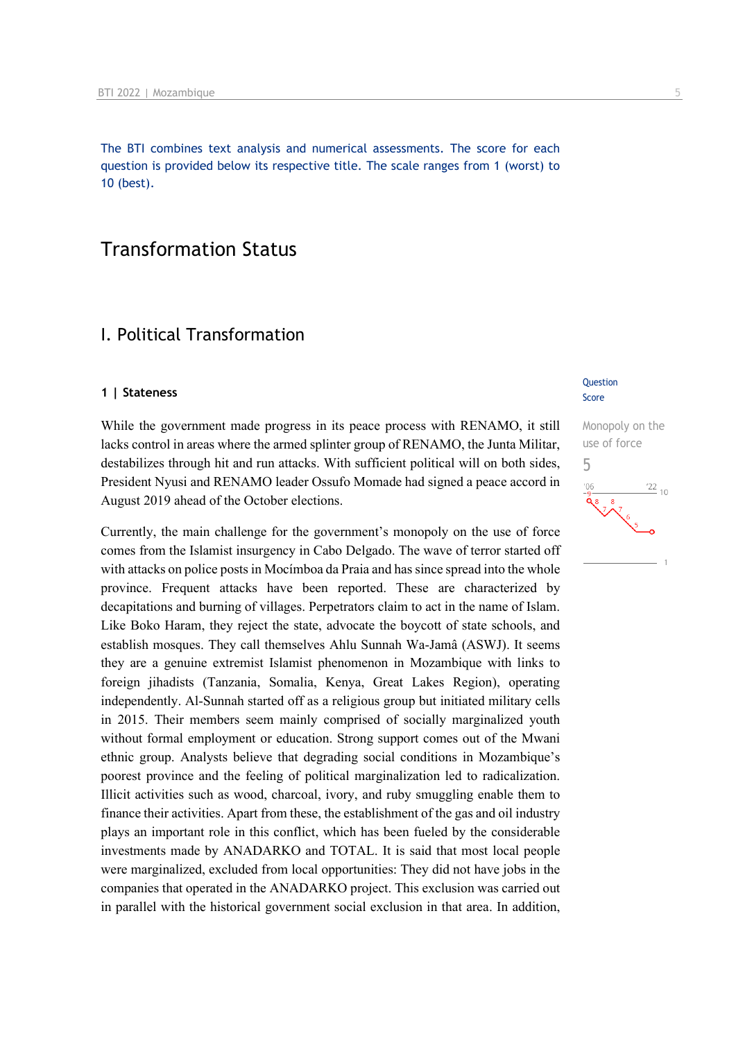The BTI combines text analysis and numerical assessments. The score for each question is provided below its respective title. The scale ranges from 1 (worst) to 10 (best).

## Transformation Status

## I. Political Transformation

#### **1 | Stateness**

While the government made progress in its peace process with RENAMO, it still lacks control in areas where the armed splinter group of RENAMO, the Junta Militar, destabilizes through hit and run attacks. With sufficient political will on both sides, President Nyusi and RENAMO leader Ossufo Momade had signed a peace accord in August 2019 ahead of the October elections.

Currently, the main challenge for the government's monopoly on the use of force comes from the Islamist insurgency in Cabo Delgado. The wave of terror started off with attacks on police posts in Mocímboa da Praia and has since spread into the whole province. Frequent attacks have been reported. These are characterized by decapitations and burning of villages. Perpetrators claim to act in the name of Islam. Like Boko Haram, they reject the state, advocate the boycott of state schools, and establish mosques. They call themselves Ahlu Sunnah Wa-Jamâ (ASWJ). It seems they are a genuine extremist Islamist phenomenon in Mozambique with links to foreign jihadists (Tanzania, Somalia, Kenya, Great Lakes Region), operating independently. Al-Sunnah started off as a religious group but initiated military cells in 2015. Their members seem mainly comprised of socially marginalized youth without formal employment or education. Strong support comes out of the Mwani ethnic group. Analysts believe that degrading social conditions in Mozambique's poorest province and the feeling of political marginalization led to radicalization. Illicit activities such as wood, charcoal, ivory, and ruby smuggling enable them to finance their activities. Apart from these, the establishment of the gas and oil industry plays an important role in this conflict, which has been fueled by the considerable investments made by ANADARKO and TOTAL. It is said that most local people were marginalized, excluded from local opportunities: They did not have jobs in the companies that operated in the ANADARKO project. This exclusion was carried out in parallel with the historical government social exclusion in that area. In addition,

#### **Question** Score

Monopoly on the use of force 5 $\frac{22}{10}$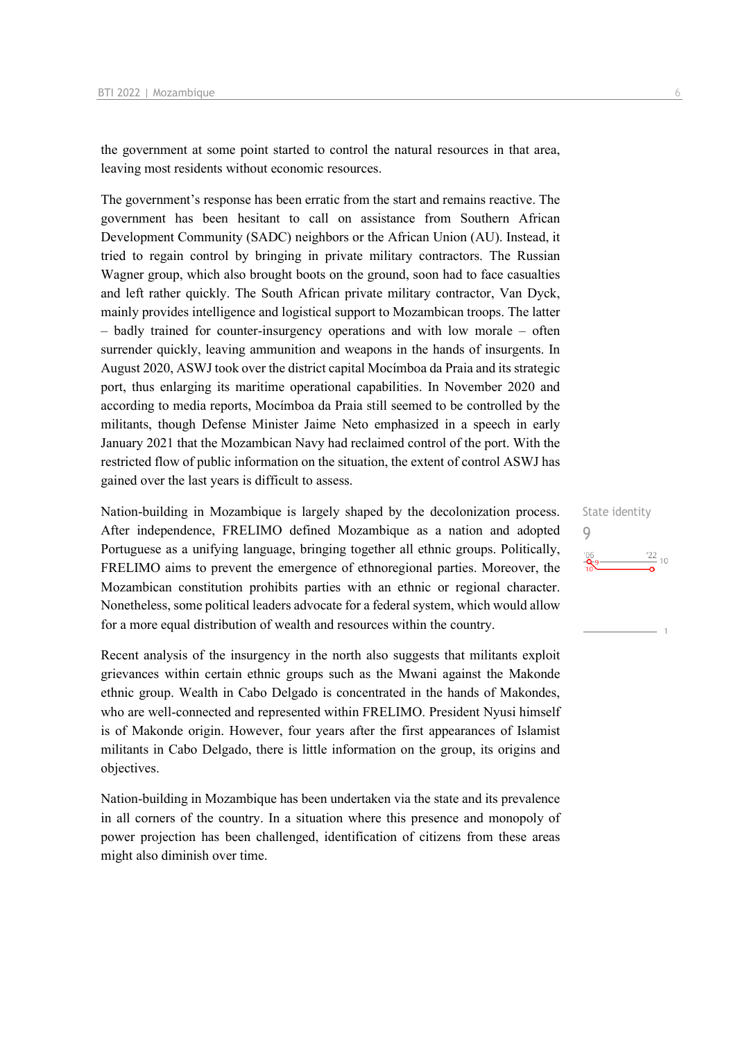the government at some point started to control the natural resources in that area, leaving most residents without economic resources.

The government's response has been erratic from the start and remains reactive. The government has been hesitant to call on assistance from Southern African Development Community (SADC) neighbors or the African Union (AU). Instead, it tried to regain control by bringing in private military contractors. The Russian Wagner group, which also brought boots on the ground, soon had to face casualties and left rather quickly. The South African private military contractor, Van Dyck, mainly provides intelligence and logistical support to Mozambican troops. The latter – badly trained for counter-insurgency operations and with low morale – often surrender quickly, leaving ammunition and weapons in the hands of insurgents. In August 2020, ASWJ took over the district capital Mocímboa da Praia and its strategic port, thus enlarging its maritime operational capabilities. In November 2020 and according to media reports, Mocímboa da Praia still seemed to be controlled by the militants, though Defense Minister Jaime Neto emphasized in a speech in early January 2021 that the Mozambican Navy had reclaimed control of the port. With the restricted flow of public information on the situation, the extent of control ASWJ has gained over the last years is difficult to assess.

Nation-building in Mozambique is largely shaped by the decolonization process. After independence, FRELIMO defined Mozambique as a nation and adopted Portuguese as a unifying language, bringing together all ethnic groups. Politically, FRELIMO aims to prevent the emergence of ethnoregional parties. Moreover, the Mozambican constitution prohibits parties with an ethnic or regional character. Nonetheless, some political leaders advocate for a federal system, which would allow for a more equal distribution of wealth and resources within the country.

Recent analysis of the insurgency in the north also suggests that militants exploit grievances within certain ethnic groups such as the Mwani against the Makonde ethnic group. Wealth in Cabo Delgado is concentrated in the hands of Makondes, who are well-connected and represented within FRELIMO. President Nyusi himself is of Makonde origin. However, four years after the first appearances of Islamist militants in Cabo Delgado, there is little information on the group, its origins and objectives.

Nation-building in Mozambique has been undertaken via the state and its prevalence in all corners of the country. In a situation where this presence and monopoly of power projection has been challenged, identification of citizens from these areas might also diminish over time.

## State identity 9 $\frac{22}{10}$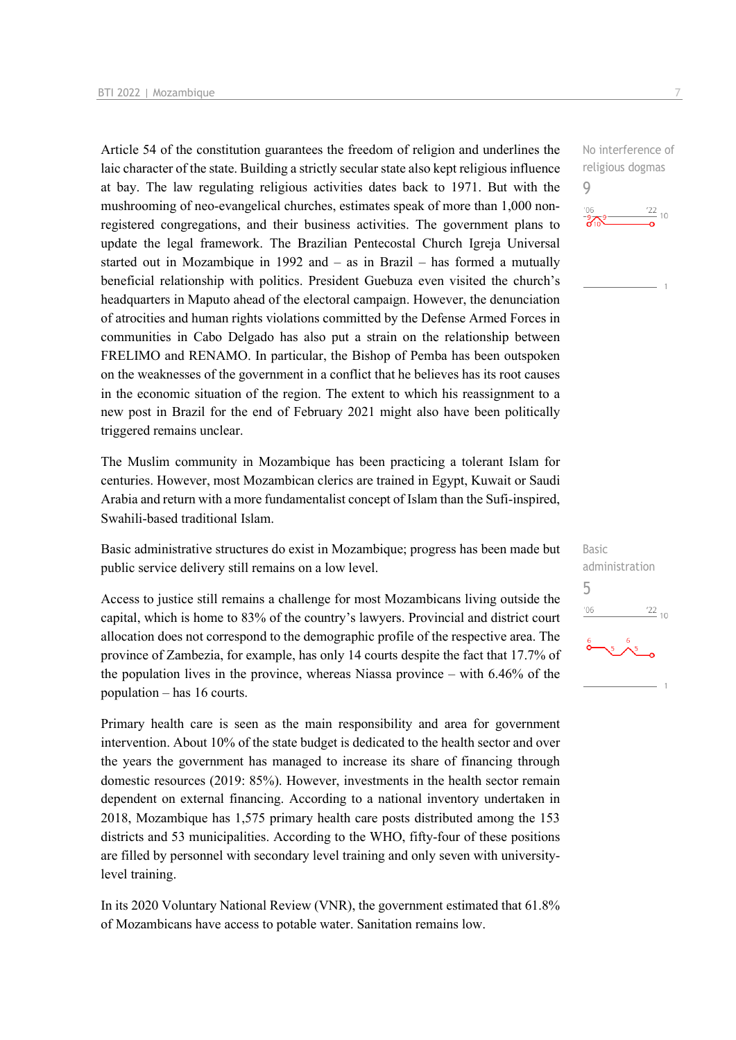Article 54 of the constitution guarantees the freedom of religion and underlines the laic character of the state. Building a strictly secular state also kept religious influence at bay. The law regulating religious activities dates back to 1971. But with the mushrooming of neo-evangelical churches, estimates speak of more than 1,000 nonregistered congregations, and their business activities. The government plans to update the legal framework. The Brazilian Pentecostal Church Igreja Universal started out in Mozambique in 1992 and – as in Brazil – has formed a mutually beneficial relationship with politics. President Guebuza even visited the church's headquarters in Maputo ahead of the electoral campaign. However, the denunciation of atrocities and human rights violations committed by the Defense Armed Forces in communities in Cabo Delgado has also put a strain on the relationship between FRELIMO and RENAMO. In particular, the Bishop of Pemba has been outspoken on the weaknesses of the government in a conflict that he believes has its root causes in the economic situation of the region. The extent to which his reassignment to a new post in Brazil for the end of February 2021 might also have been politically triggered remains unclear.

The Muslim community in Mozambique has been practicing a tolerant Islam for centuries. However, most Mozambican clerics are trained in Egypt, Kuwait or Saudi Arabia and return with a more fundamentalist concept of Islam than the Sufi-inspired, Swahili-based traditional Islam.

Basic administrative structures do exist in Mozambique; progress has been made but public service delivery still remains on a low level.

Access to justice still remains a challenge for most Mozambicans living outside the capital, which is home to 83% of the country's lawyers. Provincial and district court allocation does not correspond to the demographic profile of the respective area. The province of Zambezia, for example, has only 14 courts despite the fact that 17.7% of the population lives in the province, whereas Niassa province – with 6.46% of the population – has 16 courts.

Primary health care is seen as the main responsibility and area for government intervention. About 10% of the state budget is dedicated to the health sector and over the years the government has managed to increase its share of financing through domestic resources (2019: 85%). However, investments in the health sector remain dependent on external financing. According to a national inventory undertaken in 2018, Mozambique has 1,575 primary health care posts distributed among the 153 districts and 53 municipalities. According to the WHO, fifty-four of these positions are filled by personnel with secondary level training and only seven with universitylevel training.

In its 2020 Voluntary National Review (VNR), the government estimated that 61.8% of Mozambicans have access to potable water. Sanitation remains low.

No interference of religious dogmas 9



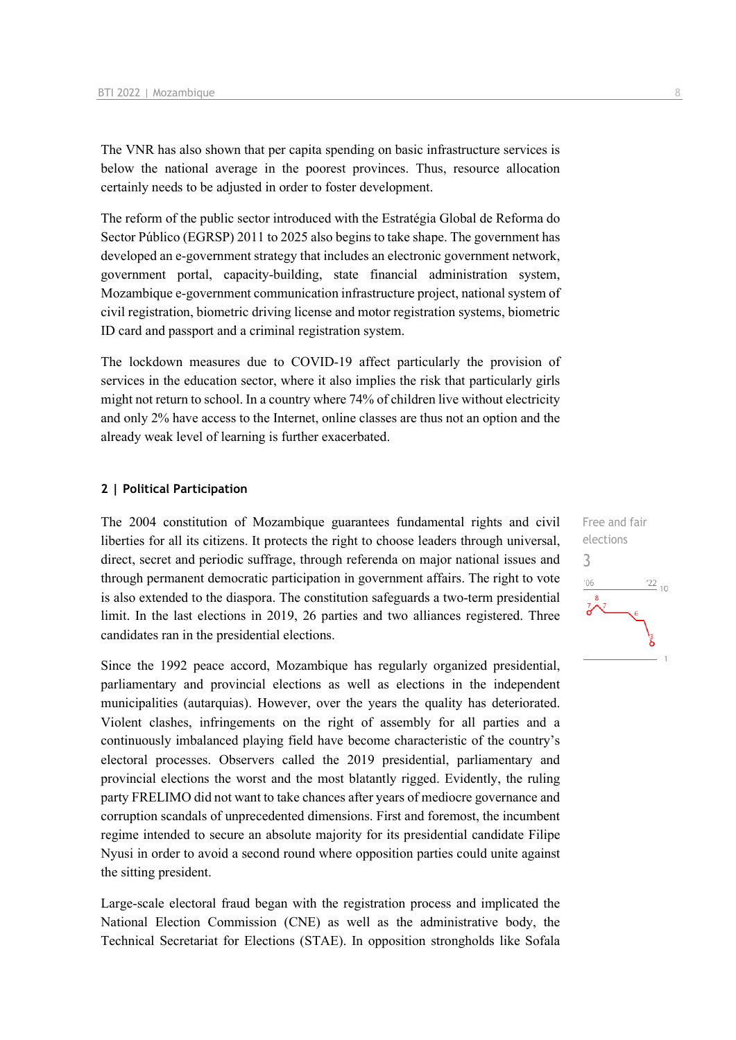The VNR has also shown that per capita spending on basic infrastructure services is below the national average in the poorest provinces. Thus, resource allocation certainly needs to be adjusted in order to foster development.

The reform of the public sector introduced with the Estratégia Global de Reforma do Sector Público (EGRSP) 2011 to 2025 also begins to take shape. The government has developed an e-government strategy that includes an electronic government network, government portal, capacity-building, state financial administration system, Mozambique e-government communication infrastructure project, national system of civil registration, biometric driving license and motor registration systems, biometric ID card and passport and a criminal registration system.

The lockdown measures due to COVID-19 affect particularly the provision of services in the education sector, where it also implies the risk that particularly girls might not return to school. In a country where 74% of children live without electricity and only 2% have access to the Internet, online classes are thus not an option and the already weak level of learning is further exacerbated.

#### **2 | Political Participation**

The 2004 constitution of Mozambique guarantees fundamental rights and civil liberties for all its citizens. It protects the right to choose leaders through universal, direct, secret and periodic suffrage, through referenda on major national issues and through permanent democratic participation in government affairs. The right to vote is also extended to the diaspora. The constitution safeguards a two-term presidential limit. In the last elections in 2019, 26 parties and two alliances registered. Three candidates ran in the presidential elections.

Since the 1992 peace accord, Mozambique has regularly organized presidential, parliamentary and provincial elections as well as elections in the independent municipalities (autarquias). However, over the years the quality has deteriorated. Violent clashes, infringements on the right of assembly for all parties and a continuously imbalanced playing field have become characteristic of the country's electoral processes. Observers called the 2019 presidential, parliamentary and provincial elections the worst and the most blatantly rigged. Evidently, the ruling party FRELIMO did not want to take chances after years of mediocre governance and corruption scandals of unprecedented dimensions. First and foremost, the incumbent regime intended to secure an absolute majority for its presidential candidate Filipe Nyusi in order to avoid a second round where opposition parties could unite against the sitting president.

Large-scale electoral fraud began with the registration process and implicated the National Election Commission (CNE) as well as the administrative body, the Technical Secretariat for Elections (STAE). In opposition strongholds like Sofala Free and fair elections 3 $\frac{22}{10}$  $^{\prime}06$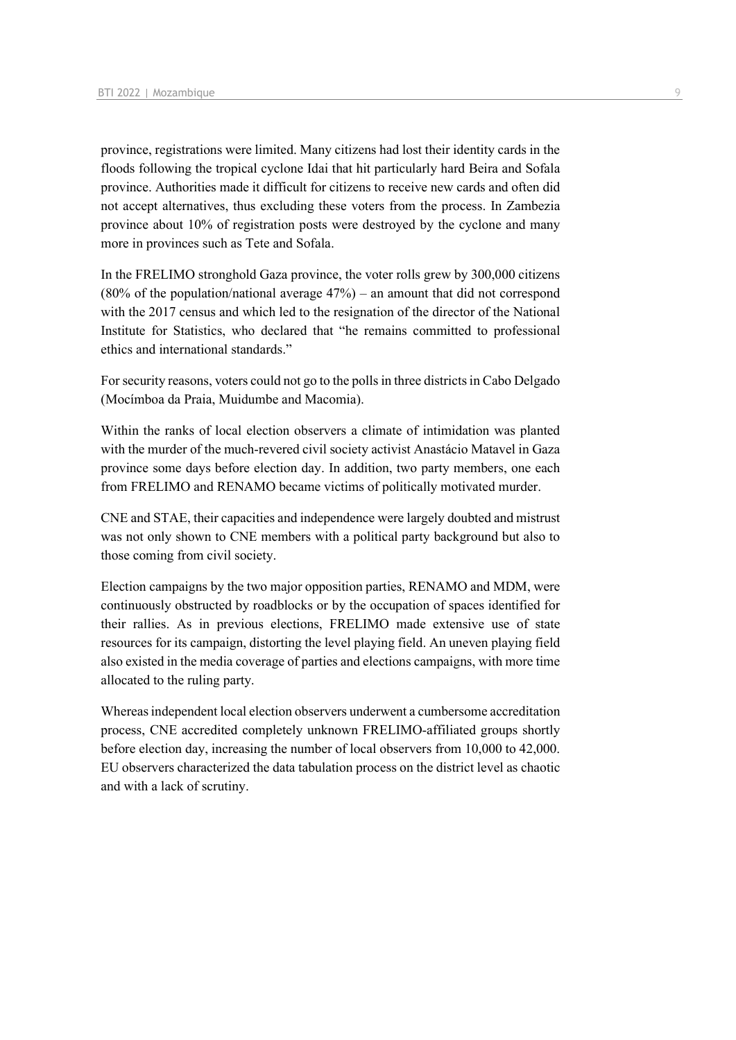province, registrations were limited. Many citizens had lost their identity cards in the floods following the tropical cyclone Idai that hit particularly hard Beira and Sofala province. Authorities made it difficult for citizens to receive new cards and often did not accept alternatives, thus excluding these voters from the process. In Zambezia province about 10% of registration posts were destroyed by the cyclone and many more in provinces such as Tete and Sofala.

In the FRELIMO stronghold Gaza province, the voter rolls grew by 300,000 citizens  $(80\% \text{ of the population/national average } 47\%)$  – an amount that did not correspond with the 2017 census and which led to the resignation of the director of the National Institute for Statistics, who declared that "he remains committed to professional ethics and international standards."

For security reasons, voters could not go to the polls in three districts in Cabo Delgado (Mocímboa da Praia, Muidumbe and Macomia).

Within the ranks of local election observers a climate of intimidation was planted with the murder of the much-revered civil society activist Anastácio Matavel in Gaza province some days before election day. In addition, two party members, one each from FRELIMO and RENAMO became victims of politically motivated murder.

CNE and STAE, their capacities and independence were largely doubted and mistrust was not only shown to CNE members with a political party background but also to those coming from civil society.

Election campaigns by the two major opposition parties, RENAMO and MDM, were continuously obstructed by roadblocks or by the occupation of spaces identified for their rallies. As in previous elections, FRELIMO made extensive use of state resources for its campaign, distorting the level playing field. An uneven playing field also existed in the media coverage of parties and elections campaigns, with more time allocated to the ruling party.

Whereas independent local election observers underwent a cumbersome accreditation process, CNE accredited completely unknown FRELIMO-affiliated groups shortly before election day, increasing the number of local observers from 10,000 to 42,000. EU observers characterized the data tabulation process on the district level as chaotic and with a lack of scrutiny.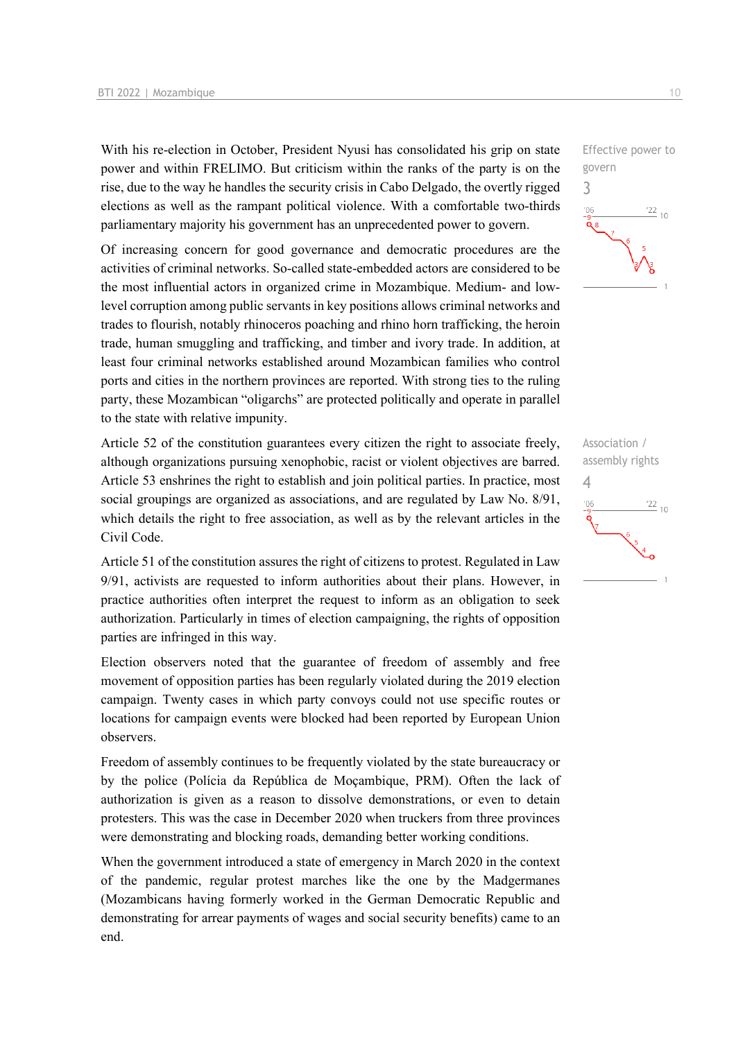With his re-election in October, President Nyusi has consolidated his grip on state power and within FRELIMO. But criticism within the ranks of the party is on the rise, due to the way he handles the security crisis in Cabo Delgado, the overtly rigged elections as well as the rampant political violence. With a comfortable two-thirds parliamentary majority his government has an unprecedented power to govern.

Of increasing concern for good governance and democratic procedures are the activities of criminal networks. So-called state-embedded actors are considered to be the most influential actors in organized crime in Mozambique. Medium- and lowlevel corruption among public servants in key positions allows criminal networks and trades to flourish, notably rhinoceros poaching and rhino horn trafficking, the heroin trade, human smuggling and trafficking, and timber and ivory trade. In addition, at least four criminal networks established around Mozambican families who control ports and cities in the northern provinces are reported. With strong ties to the ruling party, these Mozambican "oligarchs" are protected politically and operate in parallel to the state with relative impunity.

Article 52 of the constitution guarantees every citizen the right to associate freely, although organizations pursuing xenophobic, racist or violent objectives are barred. Article 53 enshrines the right to establish and join political parties. In practice, most social groupings are organized as associations, and are regulated by Law No. 8/91, which details the right to free association, as well as by the relevant articles in the Civil Code.

Article 51 of the constitution assures the right of citizens to protest. Regulated in Law 9/91, activists are requested to inform authorities about their plans. However, in practice authorities often interpret the request to inform as an obligation to seek authorization. Particularly in times of election campaigning, the rights of opposition parties are infringed in this way.

Election observers noted that the guarantee of freedom of assembly and free movement of opposition parties has been regularly violated during the 2019 election campaign. Twenty cases in which party convoys could not use specific routes or locations for campaign events were blocked had been reported by European Union observers.

Freedom of assembly continues to be frequently violated by the state bureaucracy or by the police (Polícia da República de Moçambique, PRM). Often the lack of authorization is given as a reason to dissolve demonstrations, or even to detain protesters. This was the case in December 2020 when truckers from three provinces were demonstrating and blocking roads, demanding better working conditions.

When the government introduced a state of emergency in March 2020 in the context of the pandemic, regular protest marches like the one by the Madgermanes (Mozambicans having formerly worked in the German Democratic Republic and demonstrating for arrear payments of wages and social security benefits) came to an end.



Association / assembly rights 4 $\frac{22}{10}$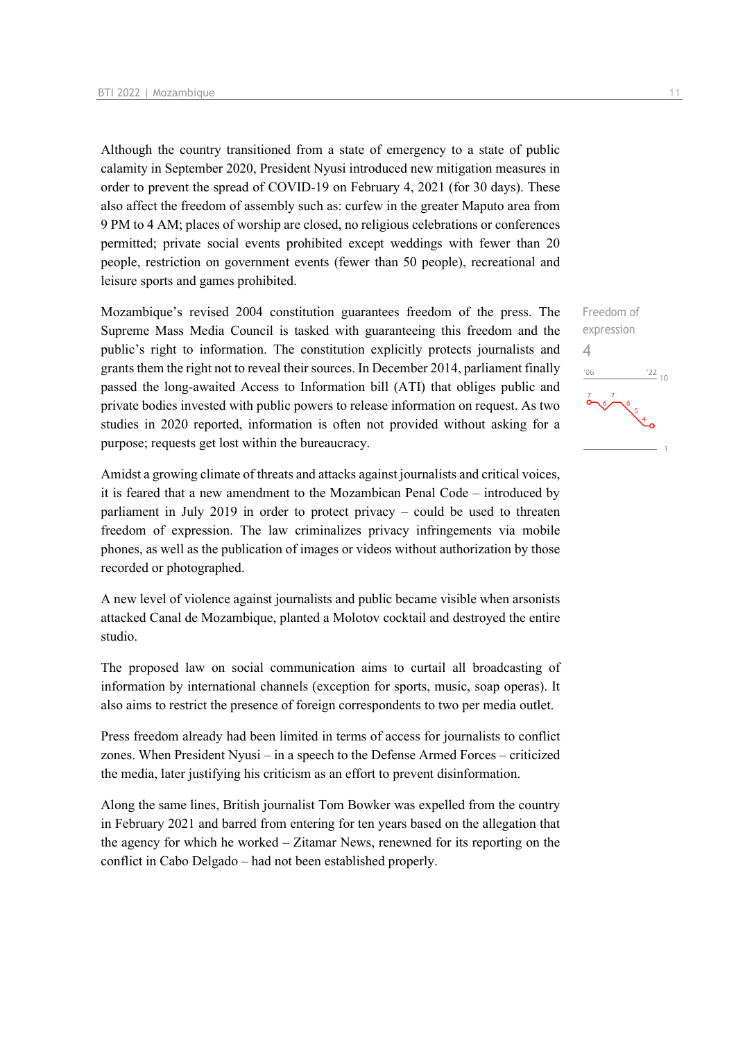Although the country transitioned from a state of emergency to a state of public calamity in September 2020, President Nyusi introduced new mitigation measures in order to prevent the spread of COVID-19 on February 4, 2021 (for 30 days). These also affect the freedom of assembly such as: curfew in the greater Maputo area from 9 PM to 4 AM; places of worship are closed, no religious celebrations or conferences permitted; private social events prohibited except weddings with fewer than 20 people, restriction on government events (fewer than 50 people), recreational and leisure sports and games prohibited.

Mozambique's revised 2004 constitution guarantees freedom of the press. The Supreme Mass Media Council is tasked with guaranteeing this freedom and the public's right to information. The constitution explicitly protects journalists and grants them the right not to reveal their sources. In December 2014, parliament finally passed the long-awaited Access to Information bill (ATI) that obliges public and private bodies invested with public powers to release information on request. As two studies in 2020 reported, information is often not provided without asking for a purpose; requests get lost within the bureaucracy.

Amidst a growing climate of threats and attacks against journalists and critical voices, it is feared that a new amendment to the Mozambican Penal Code – introduced by parliament in July 2019 in order to protect privacy – could be used to threaten freedom of expression. The law criminalizes privacy infringements via mobile phones, as well as the publication of images or videos without authorization by those recorded or photographed.

A new level of violence against journalists and public became visible when arsonists attacked Canal de Mozambique, planted a Molotov cocktail and destroyed the entire studio.

The proposed law on social communication aims to curtail all broadcasting of information by international channels (exception for sports, music, soap operas). It also aims to restrict the presence of foreign correspondents to two per media outlet.

Press freedom already had been limited in terms of access for journalists to conflict zones. When President Nyusi – in a speech to the Defense Armed Forces – criticized the media, later justifying his criticism as an effort to prevent disinformation.

Along the same lines, British journalist Tom Bowker was expelled from the country in February 2021 and barred from entering for ten years based on the allegation that the agency for which he worked – Zitamar News, renewned for its reporting on the conflict in Cabo Delgado – had not been established properly.

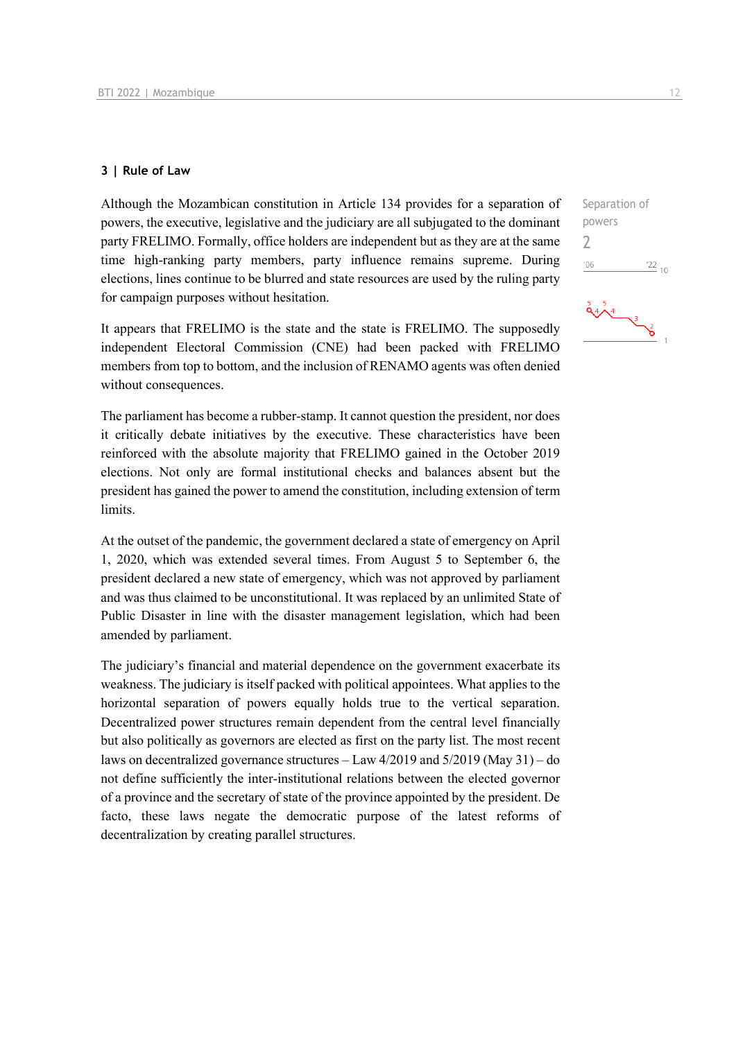#### **3 | Rule of Law**

Although the Mozambican constitution in Article 134 provides for a separation of powers, the executive, legislative and the judiciary are all subjugated to the dominant party FRELIMO. Formally, office holders are independent but as they are at the same time high-ranking party members, party influence remains supreme. During elections, lines continue to be blurred and state resources are used by the ruling party for campaign purposes without hesitation.

It appears that FRELIMO is the state and the state is FRELIMO. The supposedly independent Electoral Commission (CNE) had been packed with FRELIMO members from top to bottom, and the inclusion of RENAMO agents was often denied without consequences.

The parliament has become a rubber-stamp. It cannot question the president, nor does it critically debate initiatives by the executive. These characteristics have been reinforced with the absolute majority that FRELIMO gained in the October 2019 elections. Not only are formal institutional checks and balances absent but the president has gained the power to amend the constitution, including extension of term limits.

At the outset of the pandemic, the government declared a state of emergency on April 1, 2020, which was extended several times. From August 5 to September 6, the president declared a new state of emergency, which was not approved by parliament and was thus claimed to be unconstitutional. It was replaced by an unlimited State of Public Disaster in line with the disaster management legislation, which had been amended by parliament.

The judiciary's financial and material dependence on the government exacerbate its weakness. The judiciary is itself packed with political appointees. What applies to the horizontal separation of powers equally holds true to the vertical separation. Decentralized power structures remain dependent from the central level financially but also politically as governors are elected as first on the party list. The most recent laws on decentralized governance structures – Law 4/2019 and 5/2019 (May 31) – do not define sufficiently the inter-institutional relations between the elected governor of a province and the secretary of state of the province appointed by the president. De facto, these laws negate the democratic purpose of the latest reforms of decentralization by creating parallel structures.

Separation of powers 2 $06'$  $\frac{22}{10}$  $\frac{5}{9}$   $\frac{5}{4}$   $\frac{3}{2}$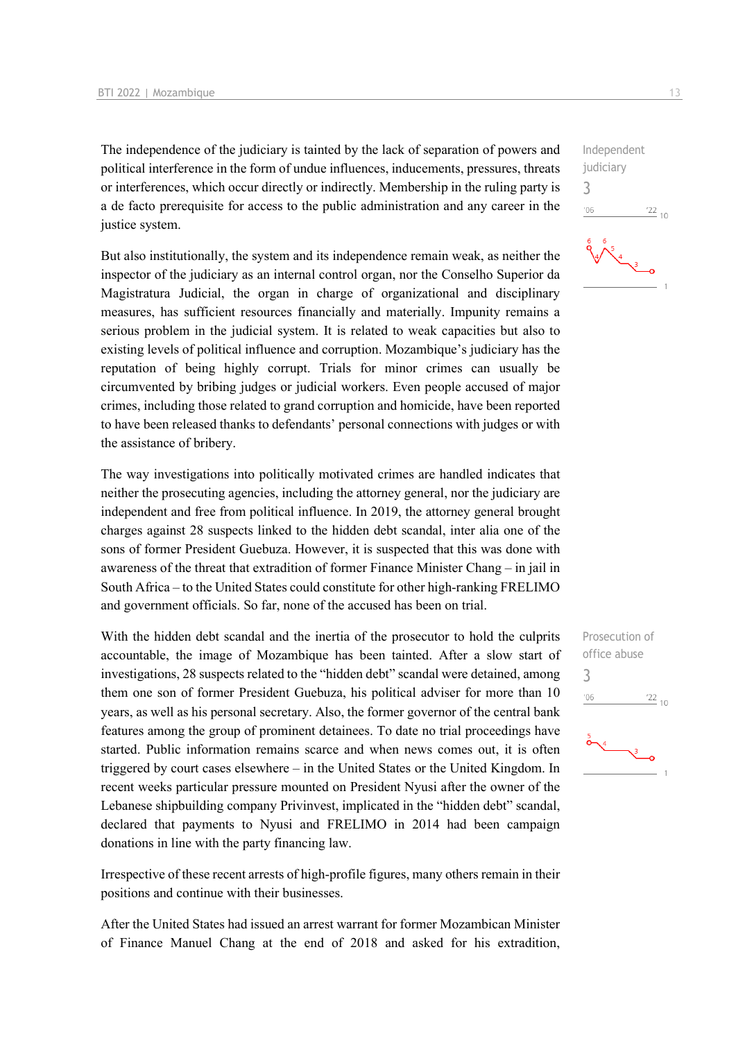The independence of the judiciary is tainted by the lack of separation of powers and political interference in the form of undue influences, inducements, pressures, threats or interferences, which occur directly or indirectly. Membership in the ruling party is a de facto prerequisite for access to the public administration and any career in the justice system.

But also institutionally, the system and its independence remain weak, as neither the inspector of the judiciary as an internal control organ, nor the Conselho Superior da Magistratura Judicial, the organ in charge of organizational and disciplinary measures, has sufficient resources financially and materially. Impunity remains a serious problem in the judicial system. It is related to weak capacities but also to existing levels of political influence and corruption. Mozambique's judiciary has the reputation of being highly corrupt. Trials for minor crimes can usually be circumvented by bribing judges or judicial workers. Even people accused of major crimes, including those related to grand corruption and homicide, have been reported to have been released thanks to defendants' personal connections with judges or with the assistance of bribery.

The way investigations into politically motivated crimes are handled indicates that neither the prosecuting agencies, including the attorney general, nor the judiciary are independent and free from political influence. In 2019, the attorney general brought charges against 28 suspects linked to the hidden debt scandal, inter alia one of the sons of former President Guebuza. However, it is suspected that this was done with awareness of the threat that extradition of former Finance Minister Chang – in jail in South Africa – to the United States could constitute for other high-ranking FRELIMO and government officials. So far, none of the accused has been on trial.

With the hidden debt scandal and the inertia of the prosecutor to hold the culprits accountable, the image of Mozambique has been tainted. After a slow start of investigations, 28 suspects related to the "hidden debt" scandal were detained, among them one son of former President Guebuza, his political adviser for more than 10 years, as well as his personal secretary. Also, the former governor of the central bank features among the group of prominent detainees. To date no trial proceedings have started. Public information remains scarce and when news comes out, it is often triggered by court cases elsewhere – in the United States or the United Kingdom. In recent weeks particular pressure mounted on President Nyusi after the owner of the Lebanese shipbuilding company Privinvest, implicated in the "hidden debt" scandal, declared that payments to Nyusi and FRELIMO in 2014 had been campaign donations in line with the party financing law.

Irrespective of these recent arrests of high-profile figures, many others remain in their positions and continue with their businesses.

After the United States had issued an arrest warrant for former Mozambican Minister of Finance Manuel Chang at the end of 2018 and asked for his extradition, Independent judiciary 3  $06'$  $^{22}$  10



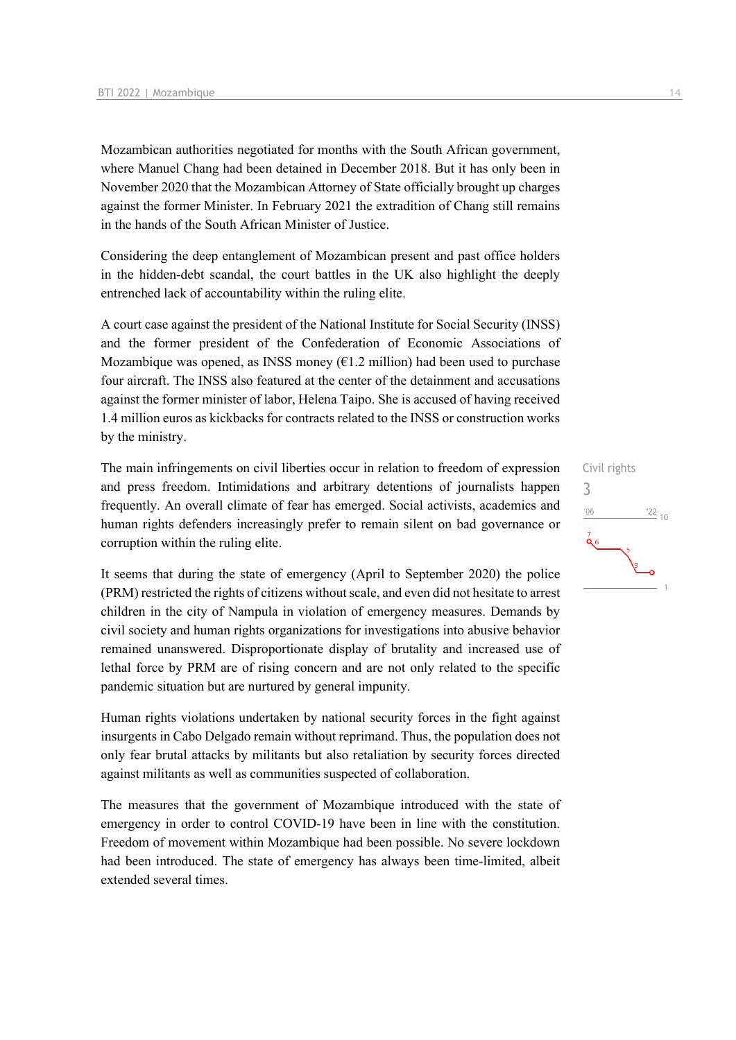Mozambican authorities negotiated for months with the South African government, where Manuel Chang had been detained in December 2018. But it has only been in November 2020 that the Mozambican Attorney of State officially brought up charges against the former Minister. In February 2021 the extradition of Chang still remains in the hands of the South African Minister of Justice.

Considering the deep entanglement of Mozambican present and past office holders in the hidden-debt scandal, the court battles in the UK also highlight the deeply entrenched lack of accountability within the ruling elite.

A court case against the president of the National Institute for Social Security (INSS) and the former president of the Confederation of Economic Associations of Mozambique was opened, as INSS money  $(61.2 \text{ million})$  had been used to purchase four aircraft. The INSS also featured at the center of the detainment and accusations against the former minister of labor, Helena Taipo. She is accused of having received 1.4 million euros as kickbacks for contracts related to the INSS or construction works by the ministry.

The main infringements on civil liberties occur in relation to freedom of expression and press freedom. Intimidations and arbitrary detentions of journalists happen frequently. An overall climate of fear has emerged. Social activists, academics and human rights defenders increasingly prefer to remain silent on bad governance or corruption within the ruling elite.

It seems that during the state of emergency (April to September 2020) the police (PRM) restricted the rights of citizens without scale, and even did not hesitate to arrest children in the city of Nampula in violation of emergency measures. Demands by civil society and human rights organizations for investigations into abusive behavior remained unanswered. Disproportionate display of brutality and increased use of lethal force by PRM are of rising concern and are not only related to the specific pandemic situation but are nurtured by general impunity.

Human rights violations undertaken by national security forces in the fight against insurgents in Cabo Delgado remain without reprimand. Thus, the population does not only fear brutal attacks by militants but also retaliation by security forces directed against militants as well as communities suspected of collaboration.

The measures that the government of Mozambique introduced with the state of emergency in order to control COVID-19 have been in line with the constitution. Freedom of movement within Mozambique had been possible. No severe lockdown had been introduced. The state of emergency has always been time-limited, albeit extended several times.

## Civil rights 3 $-06$  $\frac{22}{10}$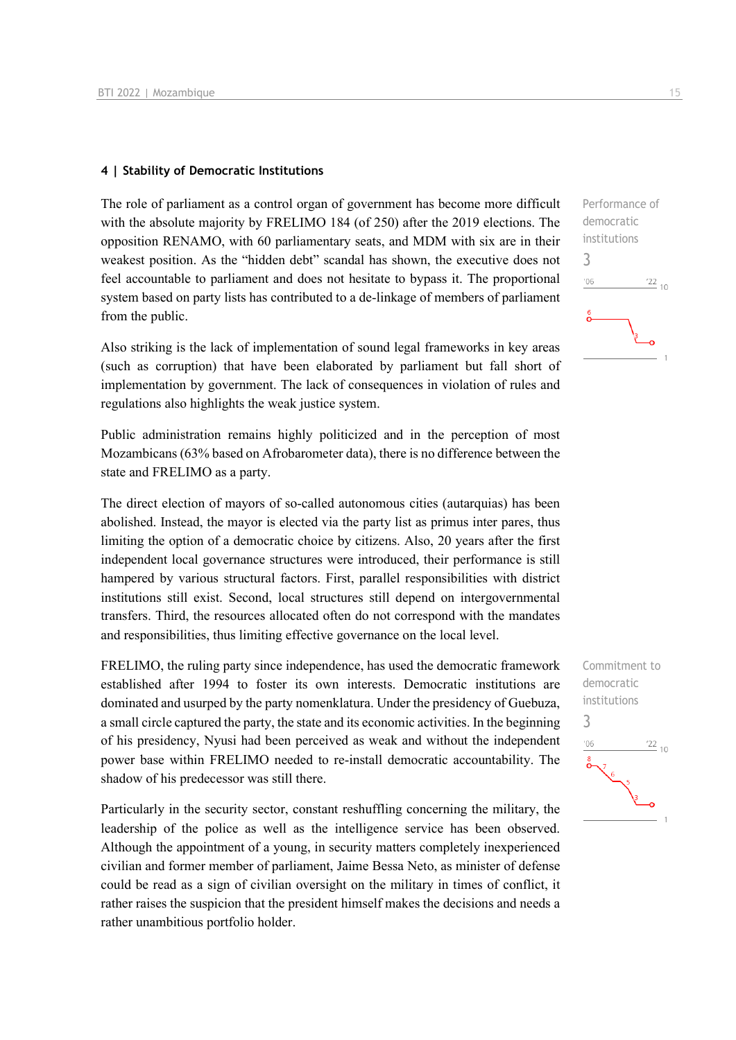#### **4 | Stability of Democratic Institutions**

The role of parliament as a control organ of government has become more difficult with the absolute majority by FRELIMO 184 (of 250) after the 2019 elections. The opposition RENAMO, with 60 parliamentary seats, and MDM with six are in their weakest position. As the "hidden debt" scandal has shown, the executive does not feel accountable to parliament and does not hesitate to bypass it. The proportional system based on party lists has contributed to a de-linkage of members of parliament from the public.

Also striking is the lack of implementation of sound legal frameworks in key areas (such as corruption) that have been elaborated by parliament but fall short of implementation by government. The lack of consequences in violation of rules and regulations also highlights the weak justice system.

Public administration remains highly politicized and in the perception of most Mozambicans (63% based on Afrobarometer data), there is no difference between the state and FRELIMO as a party.

The direct election of mayors of so-called autonomous cities (autarquias) has been abolished. Instead, the mayor is elected via the party list as primus inter pares, thus limiting the option of a democratic choice by citizens. Also, 20 years after the first independent local governance structures were introduced, their performance is still hampered by various structural factors. First, parallel responsibilities with district institutions still exist. Second, local structures still depend on intergovernmental transfers. Third, the resources allocated often do not correspond with the mandates and responsibilities, thus limiting effective governance on the local level.

FRELIMO, the ruling party since independence, has used the democratic framework established after 1994 to foster its own interests. Democratic institutions are dominated and usurped by the party nomenklatura. Under the presidency of Guebuza, a small circle captured the party, the state and its economic activities. In the beginning of his presidency, Nyusi had been perceived as weak and without the independent power base within FRELIMO needed to re-install democratic accountability. The shadow of his predecessor was still there.

Particularly in the security sector, constant reshuffling concerning the military, the leadership of the police as well as the intelligence service has been observed. Although the appointment of a young, in security matters completely inexperienced civilian and former member of parliament, Jaime Bessa Neto, as minister of defense could be read as a sign of civilian oversight on the military in times of conflict, it rather raises the suspicion that the president himself makes the decisions and needs a rather unambitious portfolio holder.



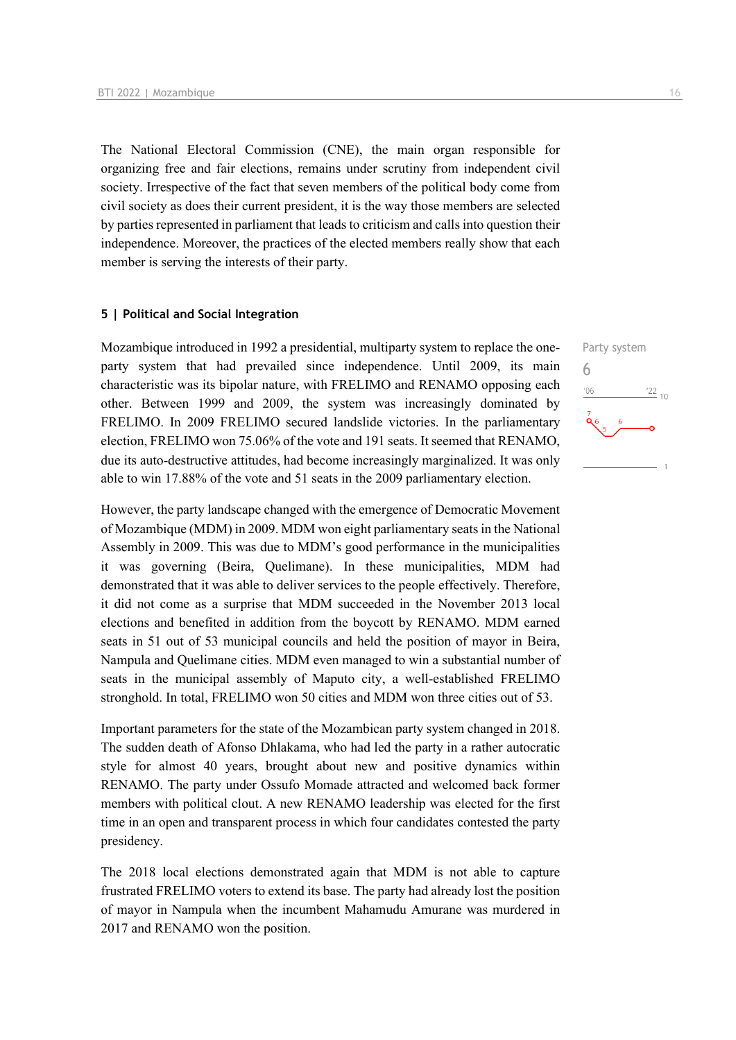The National Electoral Commission (CNE), the main organ responsible for organizing free and fair elections, remains under scrutiny from independent civil society. Irrespective of the fact that seven members of the political body come from civil society as does their current president, it is the way those members are selected by parties represented in parliament that leads to criticism and calls into question their independence. Moreover, the practices of the elected members really show that each member is serving the interests of their party.

#### **5 | Political and Social Integration**

Mozambique introduced in 1992 a presidential, multiparty system to replace the oneparty system that had prevailed since independence. Until 2009, its main characteristic was its bipolar nature, with FRELIMO and RENAMO opposing each other. Between 1999 and 2009, the system was increasingly dominated by FRELIMO. In 2009 FRELIMO secured landslide victories. In the parliamentary election, FRELIMO won 75.06% of the vote and 191 seats. It seemed that RENAMO, due its auto-destructive attitudes, had become increasingly marginalized. It was only able to win 17.88% of the vote and 51 seats in the 2009 parliamentary election.

However, the party landscape changed with the emergence of Democratic Movement of Mozambique (MDM) in 2009. MDM won eight parliamentary seats in the National Assembly in 2009. This was due to MDM's good performance in the municipalities it was governing (Beira, Quelimane). In these municipalities, MDM had demonstrated that it was able to deliver services to the people effectively. Therefore, it did not come as a surprise that MDM succeeded in the November 2013 local elections and benefited in addition from the boycott by RENAMO. MDM earned seats in 51 out of 53 municipal councils and held the position of mayor in Beira, Nampula and Quelimane cities. MDM even managed to win a substantial number of seats in the municipal assembly of Maputo city, a well-established FRELIMO stronghold. In total, FRELIMO won 50 cities and MDM won three cities out of 53.

Important parameters for the state of the Mozambican party system changed in 2018. The sudden death of Afonso Dhlakama, who had led the party in a rather autocratic style for almost 40 years, brought about new and positive dynamics within RENAMO. The party under Ossufo Momade attracted and welcomed back former members with political clout. A new RENAMO leadership was elected for the first time in an open and transparent process in which four candidates contested the party presidency.

The 2018 local elections demonstrated again that MDM is not able to capture frustrated FRELIMO voters to extend its base. The party had already lost the position of mayor in Nampula when the incumbent Mahamudu Amurane was murdered in 2017 and RENAMO won the position.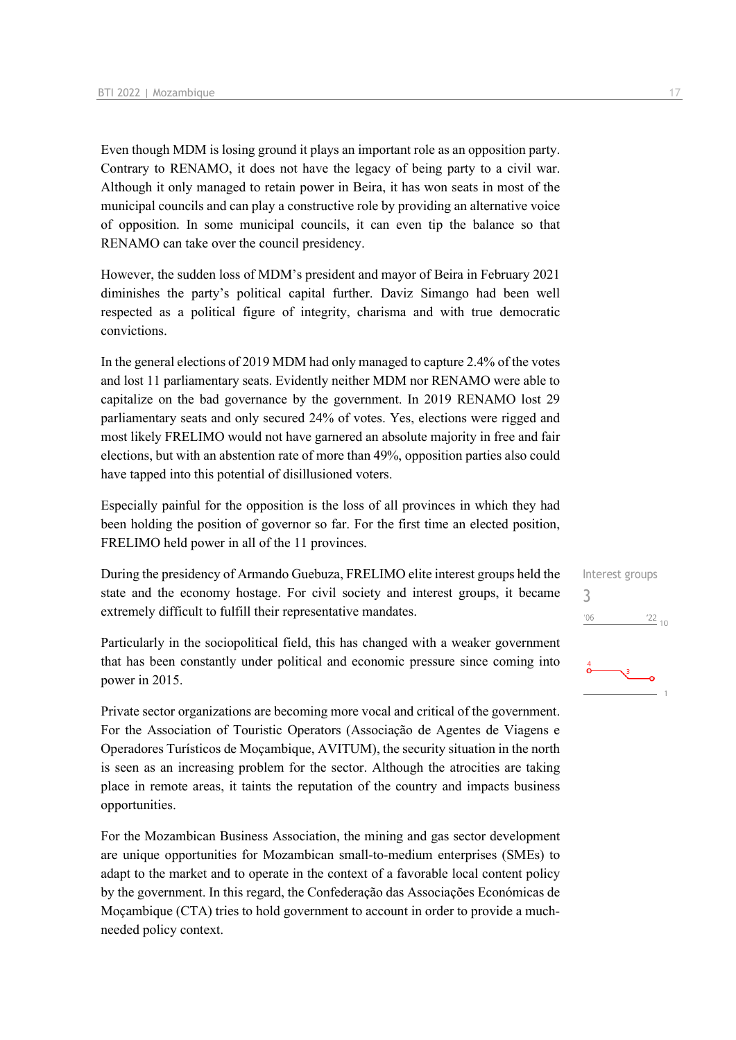Even though MDM is losing ground it plays an important role as an opposition party. Contrary to RENAMO, it does not have the legacy of being party to a civil war. Although it only managed to retain power in Beira, it has won seats in most of the municipal councils and can play a constructive role by providing an alternative voice of opposition. In some municipal councils, it can even tip the balance so that RENAMO can take over the council presidency.

However, the sudden loss of MDM's president and mayor of Beira in February 2021 diminishes the party's political capital further. Daviz Simango had been well respected as a political figure of integrity, charisma and with true democratic convictions.

In the general elections of 2019 MDM had only managed to capture 2.4% of the votes and lost 11 parliamentary seats. Evidently neither MDM nor RENAMO were able to capitalize on the bad governance by the government. In 2019 RENAMO lost 29 parliamentary seats and only secured 24% of votes. Yes, elections were rigged and most likely FRELIMO would not have garnered an absolute majority in free and fair elections, but with an abstention rate of more than 49%, opposition parties also could have tapped into this potential of disillusioned voters.

Especially painful for the opposition is the loss of all provinces in which they had been holding the position of governor so far. For the first time an elected position, FRELIMO held power in all of the 11 provinces.

During the presidency of Armando Guebuza, FRELIMO elite interest groups held the state and the economy hostage. For civil society and interest groups, it became extremely difficult to fulfill their representative mandates.

Particularly in the sociopolitical field, this has changed with a weaker government that has been constantly under political and economic pressure since coming into power in 2015.

Private sector organizations are becoming more vocal and critical of the government. For the Association of Touristic Operators (Associação de Agentes de Viagens e Operadores Turísticos de Moçambique, AVITUM), the security situation in the north is seen as an increasing problem for the sector. Although the atrocities are taking place in remote areas, it taints the reputation of the country and impacts business opportunities.

For the Mozambican Business Association, the mining and gas sector development are unique opportunities for Mozambican small-to-medium enterprises (SMEs) to adapt to the market and to operate in the context of a favorable local content policy by the government. In this regard, the Confederação das Associações Económicas de Moçambique (CTA) tries to hold government to account in order to provide a muchneeded policy context.

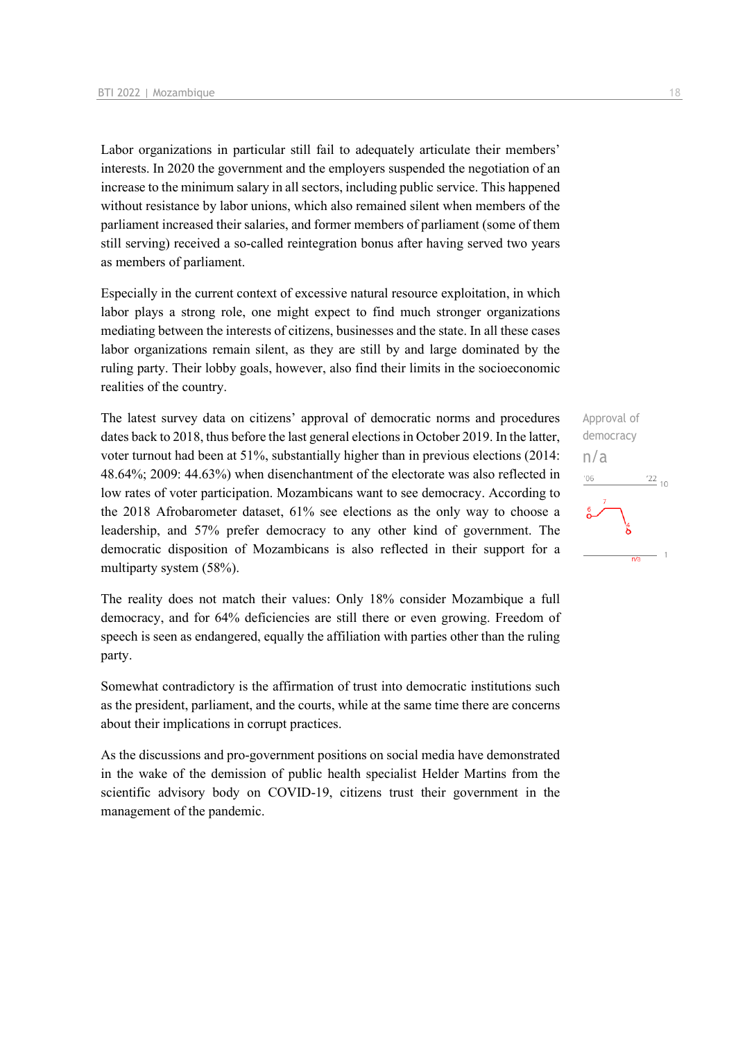Labor organizations in particular still fail to adequately articulate their members' interests. In 2020 the government and the employers suspended the negotiation of an increase to the minimum salary in all sectors, including public service. This happened without resistance by labor unions, which also remained silent when members of the parliament increased their salaries, and former members of parliament (some of them still serving) received a so-called reintegration bonus after having served two years as members of parliament.

Especially in the current context of excessive natural resource exploitation, in which labor plays a strong role, one might expect to find much stronger organizations mediating between the interests of citizens, businesses and the state. In all these cases labor organizations remain silent, as they are still by and large dominated by the ruling party. Their lobby goals, however, also find their limits in the socioeconomic realities of the country.

The latest survey data on citizens' approval of democratic norms and procedures dates back to 2018, thus before the last general elections in October 2019. In the latter, voter turnout had been at 51%, substantially higher than in previous elections (2014: 48.64%; 2009: 44.63%) when disenchantment of the electorate was also reflected in low rates of voter participation. Mozambicans want to see democracy. According to the 2018 Afrobarometer dataset, 61% see elections as the only way to choose a leadership, and 57% prefer democracy to any other kind of government. The democratic disposition of Mozambicans is also reflected in their support for a multiparty system (58%).

The reality does not match their values: Only 18% consider Mozambique a full democracy, and for 64% deficiencies are still there or even growing. Freedom of speech is seen as endangered, equally the affiliation with parties other than the ruling party.

Somewhat contradictory is the affirmation of trust into democratic institutions such as the president, parliament, and the courts, while at the same time there are concerns about their implications in corrupt practices.

As the discussions and pro-government positions on social media have demonstrated in the wake of the demission of public health specialist Helder Martins from the scientific advisory body on COVID-19, citizens trust their government in the management of the pandemic.

Approval of democracy n/a $\frac{1}{22}$  10  $-06$  $\overline{n/a}$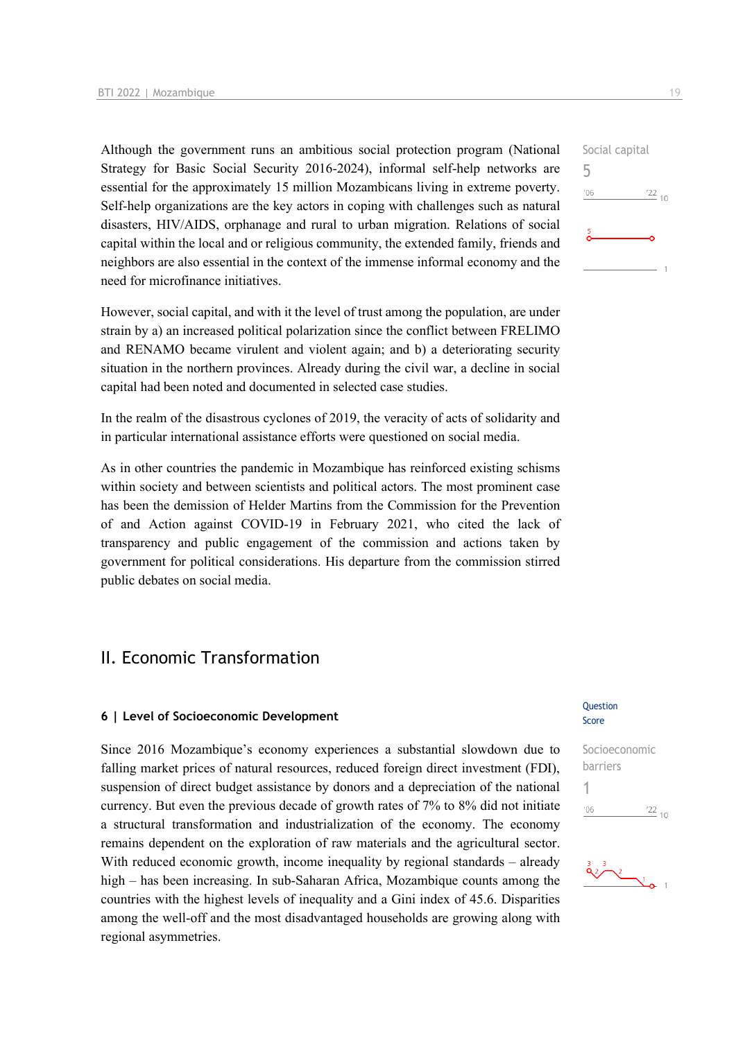Although the government runs an ambitious social protection program (National Strategy for Basic Social Security 2016-2024), informal self-help networks are essential for the approximately 15 million Mozambicans living in extreme poverty. Self-help organizations are the key actors in coping with challenges such as natural disasters, HIV/AIDS, orphanage and rural to urban migration. Relations of social capital within the local and or religious community, the extended family, friends and neighbors are also essential in the context of the immense informal economy and the need for microfinance initiatives.

However, social capital, and with it the level of trust among the population, are under strain by a) an increased political polarization since the conflict between FRELIMO and RENAMO became virulent and violent again; and b) a deteriorating security situation in the northern provinces. Already during the civil war, a decline in social capital had been noted and documented in selected case studies.

In the realm of the disastrous cyclones of 2019, the veracity of acts of solidarity and in particular international assistance efforts were questioned on social media.

As in other countries the pandemic in Mozambique has reinforced existing schisms within society and between scientists and political actors. The most prominent case has been the demission of Helder Martins from the Commission for the Prevention of and Action against COVID-19 in February 2021, who cited the lack of transparency and public engagement of the commission and actions taken by government for political considerations. His departure from the commission stirred public debates on social media.

## II. Economic Transformation

#### **6 | Level of Socioeconomic Development**

Since 2016 Mozambique's economy experiences a substantial slowdown due to falling market prices of natural resources, reduced foreign direct investment (FDI), suspension of direct budget assistance by donors and a depreciation of the national currency. But even the previous decade of growth rates of 7% to 8% did not initiate a structural transformation and industrialization of the economy. The economy remains dependent on the exploration of raw materials and the agricultural sector. With reduced economic growth, income inequality by regional standards – already high – has been increasing. In sub-Saharan Africa, Mozambique counts among the countries with the highest levels of inequality and a Gini index of 45.6. Disparities among the well-off and the most disadvantaged households are growing along with regional asymmetries.

### **Ouestion** Score

Socioeconomic barriers 1 $06'$  $\frac{22}{10}$ 

 $\frac{3}{9}$   $\frac{3}{2}$   $\frac{2}{9}$  1

Social capital 5  $\frac{22}{10}$  $106$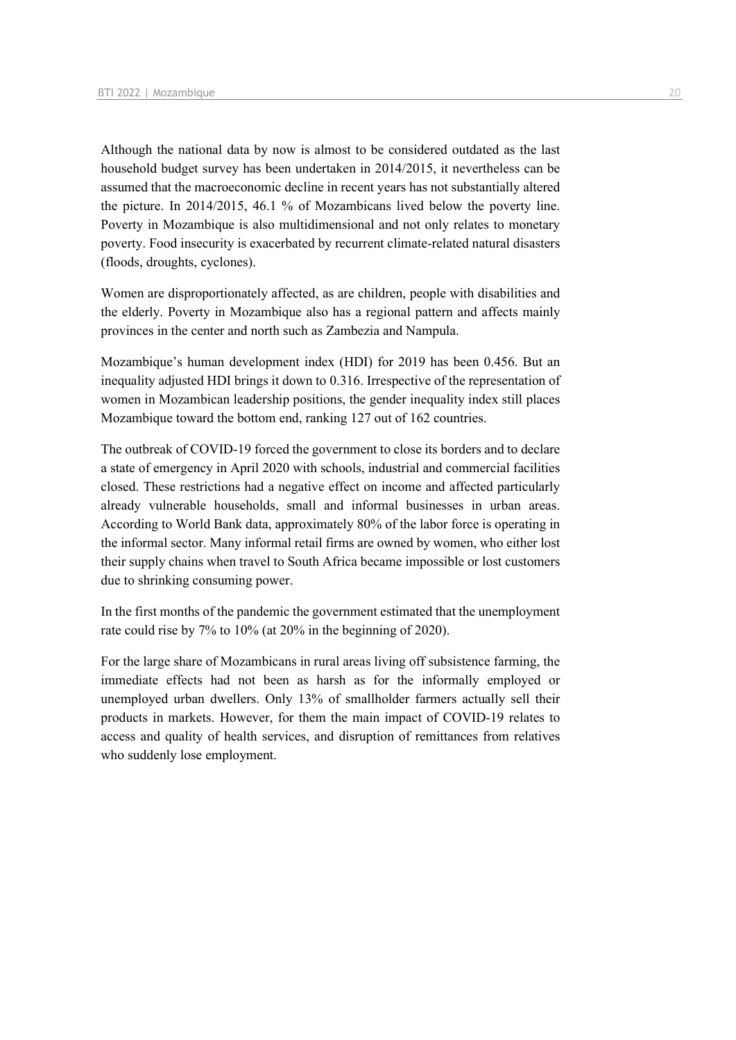Although the national data by now is almost to be considered outdated as the last household budget survey has been undertaken in 2014/2015, it nevertheless can be assumed that the macroeconomic decline in recent years has not substantially altered the picture. In 2014/2015, 46.1 % of Mozambicans lived below the poverty line. Poverty in Mozambique is also multidimensional and not only relates to monetary poverty. Food insecurity is exacerbated by recurrent climate-related natural disasters (floods, droughts, cyclones).

Women are disproportionately affected, as are children, people with disabilities and the elderly. Poverty in Mozambique also has a regional pattern and affects mainly provinces in the center and north such as Zambezia and Nampula.

Mozambique's human development index (HDI) for 2019 has been 0.456. But an inequality adjusted HDI brings it down to 0.316. Irrespective of the representation of women in Mozambican leadership positions, the gender inequality index still places Mozambique toward the bottom end, ranking 127 out of 162 countries.

The outbreak of COVID-19 forced the government to close its borders and to declare a state of emergency in April 2020 with schools, industrial and commercial facilities closed. These restrictions had a negative effect on income and affected particularly already vulnerable households, small and informal businesses in urban areas. According to World Bank data, approximately 80% of the labor force is operating in the informal sector. Many informal retail firms are owned by women, who either lost their supply chains when travel to South Africa became impossible or lost customers due to shrinking consuming power.

In the first months of the pandemic the government estimated that the unemployment rate could rise by 7% to 10% (at 20% in the beginning of 2020).

For the large share of Mozambicans in rural areas living off subsistence farming, the immediate effects had not been as harsh as for the informally employed or unemployed urban dwellers. Only 13% of smallholder farmers actually sell their products in markets. However, for them the main impact of COVID-19 relates to access and quality of health services, and disruption of remittances from relatives who suddenly lose employment.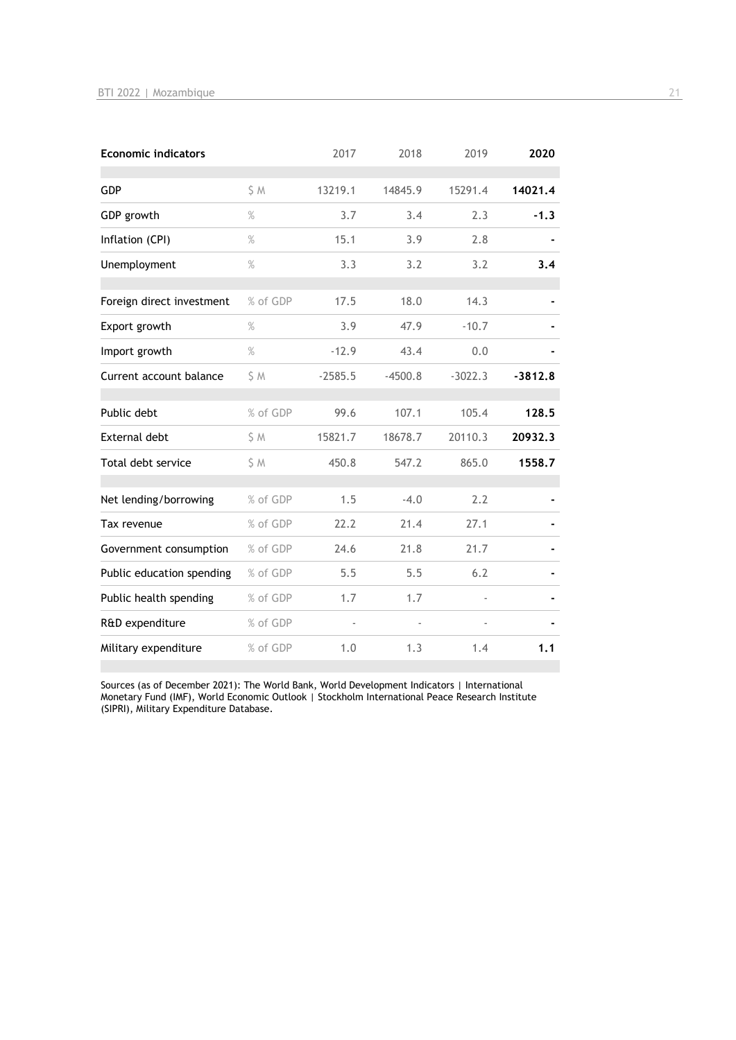| <b>Economic indicators</b> |               | 2017      | 2018      | 2019      | 2020      |
|----------------------------|---------------|-----------|-----------|-----------|-----------|
| <b>GDP</b>                 | S M           | 13219.1   | 14845.9   | 15291.4   | 14021.4   |
| GDP growth                 | $\frac{9}{6}$ | 3.7       | 3.4       | 2.3       | $-1.3$    |
| Inflation (CPI)            | $\%$          | 15.1      | 3.9       | 2.8       |           |
| Unemployment               | $\%$          | 3.3       | 3.2       | 3.2       | 3.4       |
| Foreign direct investment  | % of GDP      | 17.5      | 18.0      | 14.3      |           |
| Export growth              | $\%$          | 3.9       | 47.9      | $-10.7$   |           |
| Import growth              | $\%$          | $-12.9$   | 43.4      | 0.0       |           |
| Current account balance    | \$ M          | $-2585.5$ | $-4500.8$ | $-3022.3$ | $-3812.8$ |
| Public debt                | % of GDP      | 99.6      | 107.1     | 105.4     | 128.5     |
| <b>External debt</b>       | \$ M          | 15821.7   | 18678.7   | 20110.3   | 20932.3   |
| Total debt service         | \$ M          | 450.8     | 547.2     | 865.0     | 1558.7    |
| Net lending/borrowing      | % of GDP      | 1.5       | $-4.0$    | 2.2       |           |
| Tax revenue                | % of GDP      | 22.2      | 21.4      | 27.1      |           |
| Government consumption     | % of GDP      | 24.6      | 21.8      | 21.7      |           |
| Public education spending  | % of GDP      | 5.5       | 5.5       | 6.2       |           |
| Public health spending     | % of GDP      | 1.7       | 1.7       |           |           |
| R&D expenditure            | % of GDP      |           |           |           |           |
| Military expenditure       | % of GDP      | 1.0       | 1.3       | 1.4       | 1.1       |

Sources (as of December 2021): The World Bank, World Development Indicators | International Monetary Fund (IMF), World Economic Outlook | Stockholm International Peace Research Institute (SIPRI), Military Expenditure Database.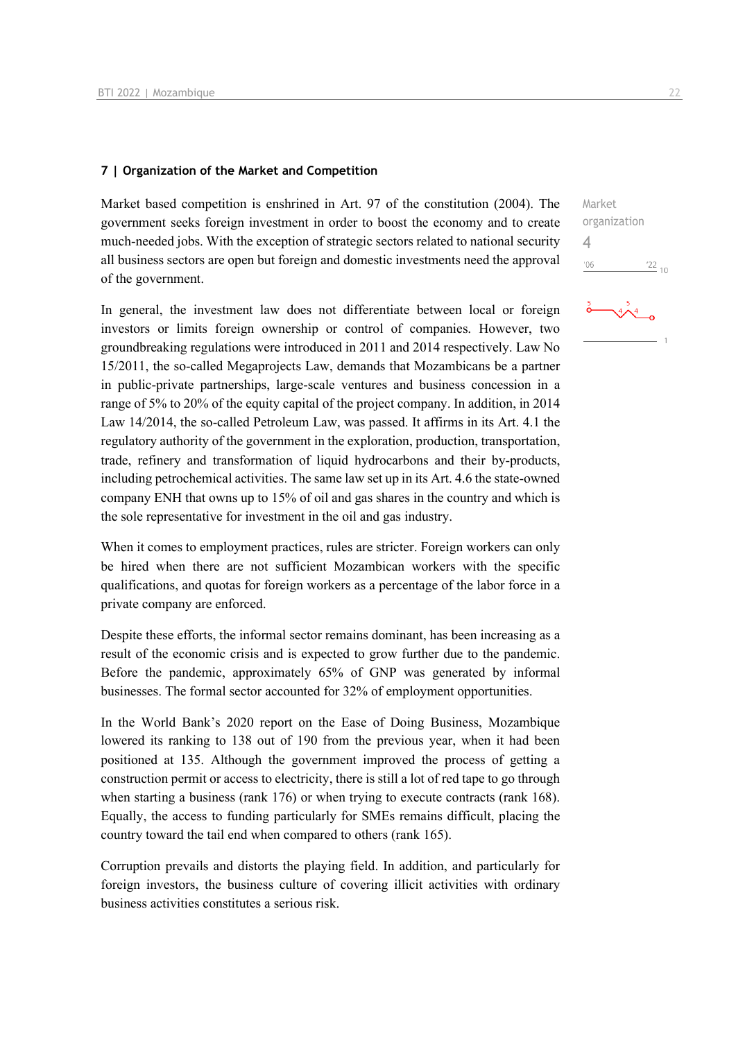#### **7 | Organization of the Market and Competition**

Market based competition is enshrined in Art. 97 of the constitution (2004). The government seeks foreign investment in order to boost the economy and to create much-needed jobs. With the exception of strategic sectors related to national security all business sectors are open but foreign and domestic investments need the approval of the government.

In general, the investment law does not differentiate between local or foreign investors or limits foreign ownership or control of companies. However, two groundbreaking regulations were introduced in 2011 and 2014 respectively. Law No 15/2011, the so-called Megaprojects Law, demands that Mozambicans be a partner in public-private partnerships, large-scale ventures and business concession in a range of 5% to 20% of the equity capital of the project company. In addition, in 2014 Law 14/2014, the so-called Petroleum Law, was passed. It affirms in its Art. 4.1 the regulatory authority of the government in the exploration, production, transportation, trade, refinery and transformation of liquid hydrocarbons and their by-products, including petrochemical activities. The same law set up in its Art. 4.6 the state-owned company ENH that owns up to 15% of oil and gas shares in the country and which is the sole representative for investment in the oil and gas industry.

When it comes to employment practices, rules are stricter. Foreign workers can only be hired when there are not sufficient Mozambican workers with the specific qualifications, and quotas for foreign workers as a percentage of the labor force in a private company are enforced.

Despite these efforts, the informal sector remains dominant, has been increasing as a result of the economic crisis and is expected to grow further due to the pandemic. Before the pandemic, approximately 65% of GNP was generated by informal businesses. The formal sector accounted for 32% of employment opportunities.

In the World Bank's 2020 report on the Ease of Doing Business, Mozambique lowered its ranking to 138 out of 190 from the previous year, when it had been positioned at 135. Although the government improved the process of getting a construction permit or access to electricity, there is still a lot of red tape to go through when starting a business (rank 176) or when trying to execute contracts (rank 168). Equally, the access to funding particularly for SMEs remains difficult, placing the country toward the tail end when compared to others (rank 165).

Corruption prevails and distorts the playing field. In addition, and particularly for foreign investors, the business culture of covering illicit activities with ordinary business activities constitutes a serious risk.

Market organization 4 $06'$  $\frac{22}{10}$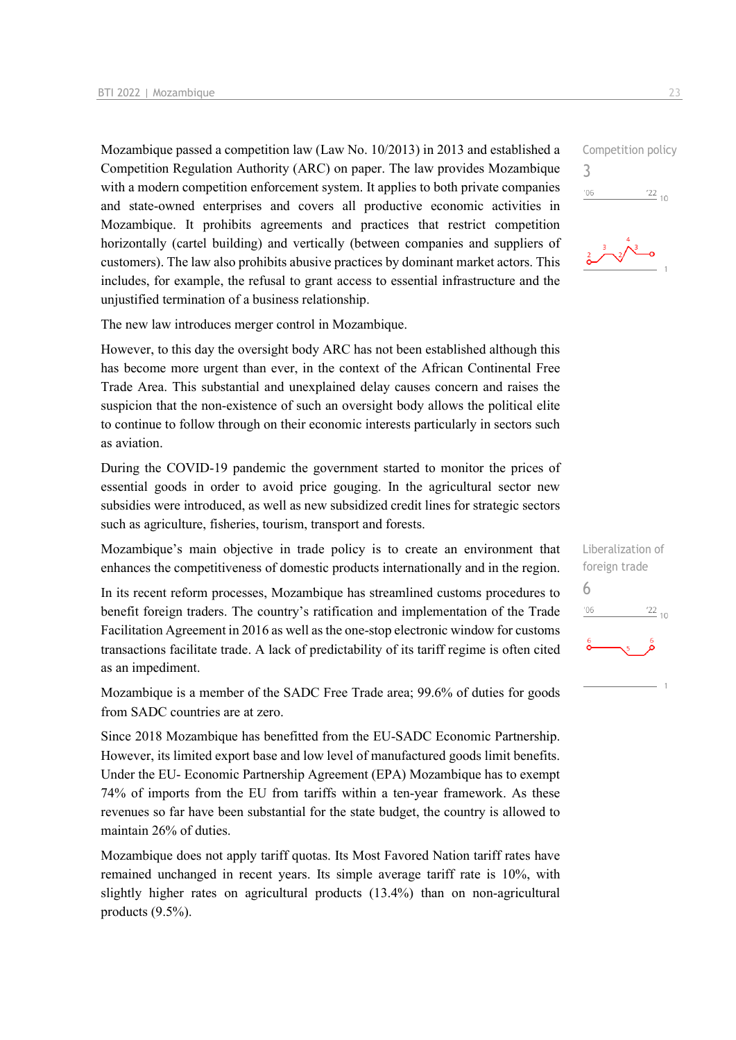Mozambique passed a competition law (Law No. 10/2013) in 2013 and established a Competition Regulation Authority (ARC) on paper. The law provides Mozambique with a modern competition enforcement system. It applies to both private companies and state-owned enterprises and covers all productive economic activities in Mozambique. It prohibits agreements and practices that restrict competition horizontally (cartel building) and vertically (between companies and suppliers of customers). The law also prohibits abusive practices by dominant market actors. This includes, for example, the refusal to grant access to essential infrastructure and the unjustified termination of a business relationship.

The new law introduces merger control in Mozambique.

However, to this day the oversight body ARC has not been established although this has become more urgent than ever, in the context of the African Continental Free Trade Area. This substantial and unexplained delay causes concern and raises the suspicion that the non-existence of such an oversight body allows the political elite to continue to follow through on their economic interests particularly in sectors such as aviation.

During the COVID-19 pandemic the government started to monitor the prices of essential goods in order to avoid price gouging. In the agricultural sector new subsidies were introduced, as well as new subsidized credit lines for strategic sectors such as agriculture, fisheries, tourism, transport and forests.

Mozambique's main objective in trade policy is to create an environment that enhances the competitiveness of domestic products internationally and in the region.

In its recent reform processes, Mozambique has streamlined customs procedures to benefit foreign traders. The country's ratification and implementation of the Trade Facilitation Agreement in 2016 as well as the one-stop electronic window for customs transactions facilitate trade. A lack of predictability of its tariff regime is often cited as an impediment.

Mozambique is a member of the SADC Free Trade area; 99.6% of duties for goods from SADC countries are at zero.

Since 2018 Mozambique has benefitted from the EU-SADC Economic Partnership. However, its limited export base and low level of manufactured goods limit benefits. Under the EU- Economic Partnership Agreement (EPA) Mozambique has to exempt 74% of imports from the EU from tariffs within a ten-year framework. As these revenues so far have been substantial for the state budget, the country is allowed to maintain 26% of duties.

Mozambique does not apply tariff quotas. Its Most Favored Nation tariff rates have remained unchanged in recent years. Its simple average tariff rate is 10%, with slightly higher rates on agricultural products (13.4%) than on non-agricultural products (9.5%).



| Liberalization of<br>foreign trade |                 |
|------------------------------------|-----------------|
| 6                                  |                 |
| '06                                | $\frac{22}{10}$ |
| $\frac{6}{9}$                      |                 |
|                                    |                 |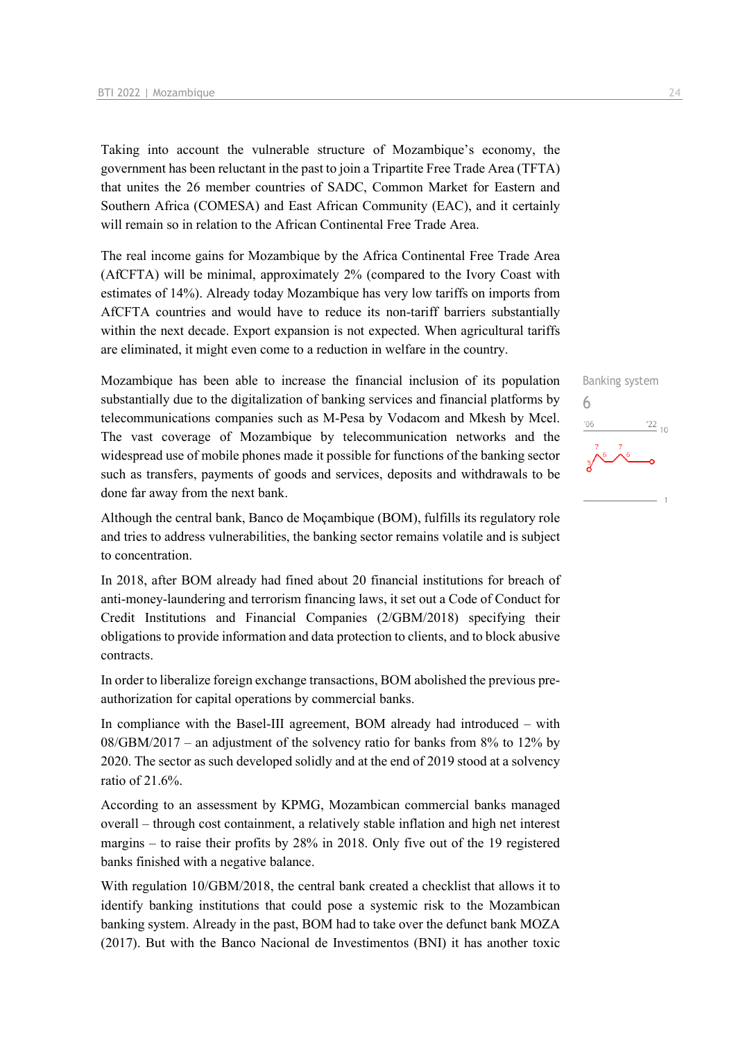Taking into account the vulnerable structure of Mozambique's economy, the government has been reluctant in the past to join a Tripartite Free Trade Area (TFTA) that unites the 26 member countries of SADC, Common Market for Eastern and Southern Africa (COMESA) and East African Community (EAC), and it certainly will remain so in relation to the African Continental Free Trade Area.

The real income gains for Mozambique by the Africa Continental Free Trade Area (AfCFTA) will be minimal, approximately 2% (compared to the Ivory Coast with estimates of 14%). Already today Mozambique has very low tariffs on imports from AfCFTA countries and would have to reduce its non-tariff barriers substantially within the next decade. Export expansion is not expected. When agricultural tariffs are eliminated, it might even come to a reduction in welfare in the country.

Mozambique has been able to increase the financial inclusion of its population substantially due to the digitalization of banking services and financial platforms by telecommunications companies such as M-Pesa by Vodacom and Mkesh by Mcel. The vast coverage of Mozambique by telecommunication networks and the widespread use of mobile phones made it possible for functions of the banking sector such as transfers, payments of goods and services, deposits and withdrawals to be done far away from the next bank.

Although the central bank, Banco de Moçambique (BOM), fulfills its regulatory role and tries to address vulnerabilities, the banking sector remains volatile and is subject to concentration.

In 2018, after BOM already had fined about 20 financial institutions for breach of anti-money-laundering and terrorism financing laws, it set out a Code of Conduct for Credit Institutions and Financial Companies (2/GBM/2018) specifying their obligations to provide information and data protection to clients, and to block abusive contracts.

In order to liberalize foreign exchange transactions, BOM abolished the previous preauthorization for capital operations by commercial banks.

In compliance with the Basel-III agreement, BOM already had introduced – with  $08/\text{GBM}/2017$  – an adjustment of the solvency ratio for banks from 8% to 12% by 2020. The sector as such developed solidly and at the end of 2019 stood at a solvency ratio of 21.6%.

According to an assessment by KPMG, Mozambican commercial banks managed overall – through cost containment, a relatively stable inflation and high net interest margins – to raise their profits by 28% in 2018. Only five out of the 19 registered banks finished with a negative balance.

With regulation 10/GBM/2018, the central bank created a checklist that allows it to identify banking institutions that could pose a systemic risk to the Mozambican banking system. Already in the past, BOM had to take over the defunct bank MOZA (2017). But with the Banco Nacional de Investimentos (BNI) it has another toxic

Banking system 6 $\frac{22}{10}$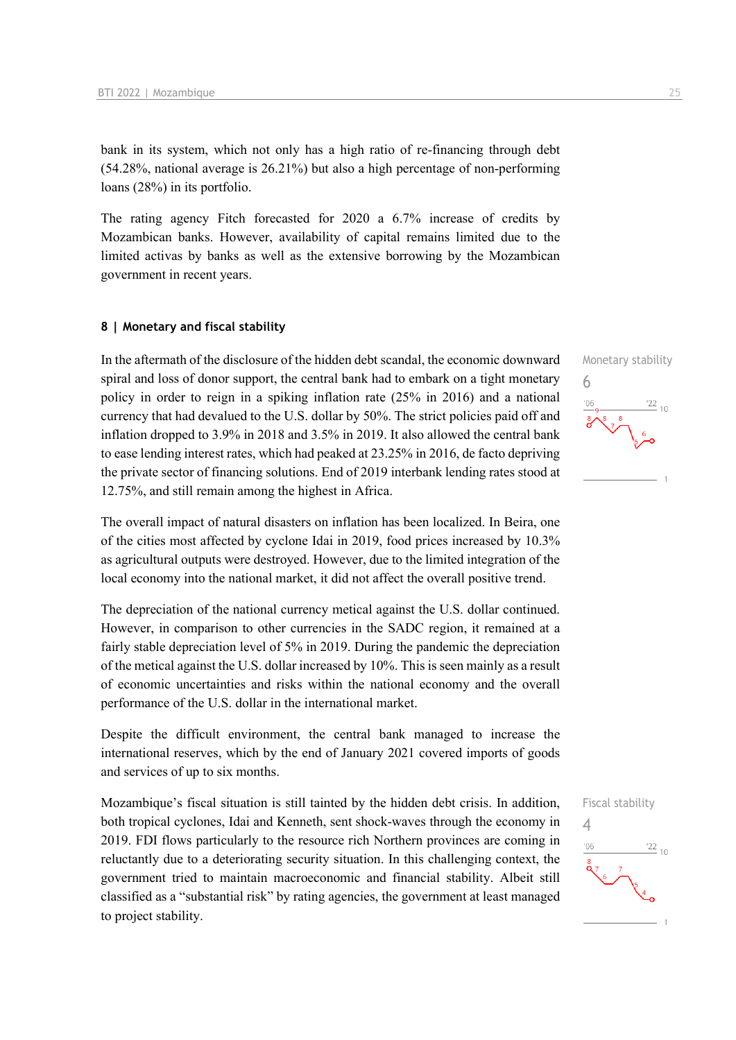bank in its system, which not only has a high ratio of re-financing through debt (54.28%, national average is 26.21%) but also a high percentage of non-performing loans (28%) in its portfolio.

The rating agency Fitch forecasted for 2020 a 6.7% increase of credits by Mozambican banks. However, availability of capital remains limited due to the limited activas by banks as well as the extensive borrowing by the Mozambican government in recent years.

#### **8 | Monetary and fiscal stability**

In the aftermath of the disclosure of the hidden debt scandal, the economic downward spiral and loss of donor support, the central bank had to embark on a tight monetary policy in order to reign in a spiking inflation rate (25% in 2016) and a national currency that had devalued to the U.S. dollar by 50%. The strict policies paid off and inflation dropped to 3.9% in 2018 and 3.5% in 2019. It also allowed the central bank to ease lending interest rates, which had peaked at 23.25% in 2016, de facto depriving the private sector of financing solutions. End of 2019 interbank lending rates stood at 12.75%, and still remain among the highest in Africa.

The overall impact of natural disasters on inflation has been localized. In Beira, one of the cities most affected by cyclone Idai in 2019, food prices increased by 10.3% as agricultural outputs were destroyed. However, due to the limited integration of the local economy into the national market, it did not affect the overall positive trend.

The depreciation of the national currency metical against the U.S. dollar continued. However, in comparison to other currencies in the SADC region, it remained at a fairly stable depreciation level of 5% in 2019. During the pandemic the depreciation of the metical against the U.S. dollar increased by 10%. This is seen mainly as a result of economic uncertainties and risks within the national economy and the overall performance of the U.S. dollar in the international market.

Despite the difficult environment, the central bank managed to increase the international reserves, which by the end of January 2021 covered imports of goods and services of up to six months.

Mozambique's fiscal situation is still tainted by the hidden debt crisis. In addition, both tropical cyclones, Idai and Kenneth, sent shock-waves through the economy in 2019. FDI flows particularly to the resource rich Northern provinces are coming in reluctantly due to a deteriorating security situation. In this challenging context, the government tried to maintain macroeconomic and financial stability. Albeit still classified as a "substantial risk" by rating agencies, the government at least managed to project stability.





Fiscal stability

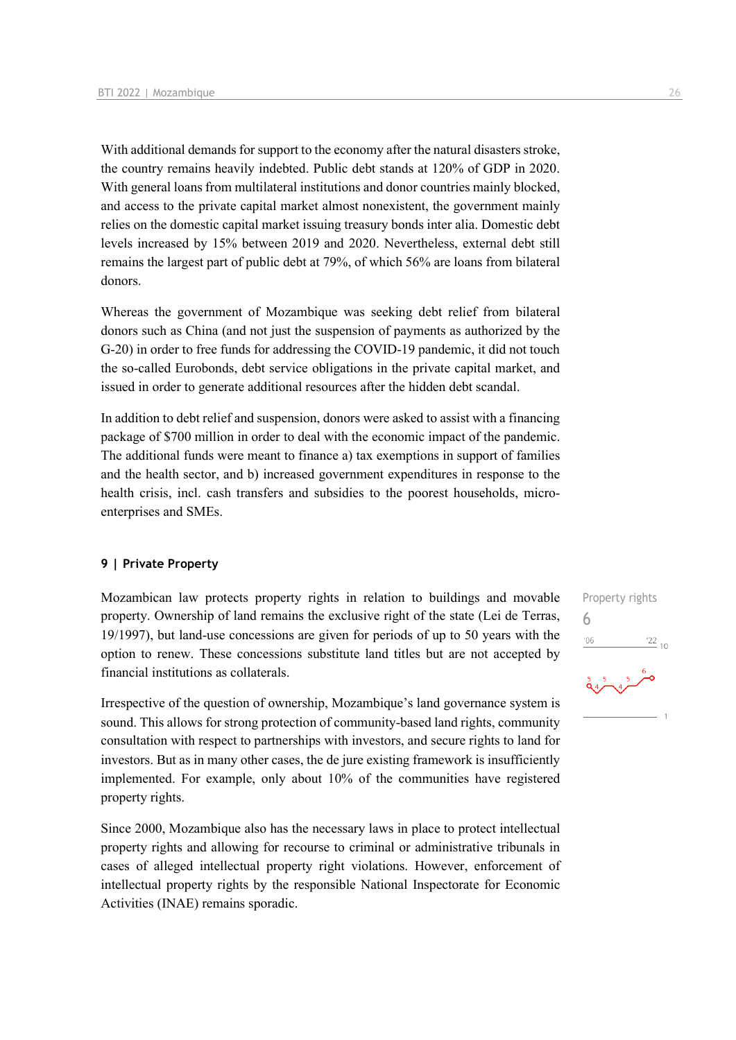With additional demands for support to the economy after the natural disasters stroke, the country remains heavily indebted. Public debt stands at 120% of GDP in 2020. With general loans from multilateral institutions and donor countries mainly blocked. and access to the private capital market almost nonexistent, the government mainly relies on the domestic capital market issuing treasury bonds inter alia. Domestic debt levels increased by 15% between 2019 and 2020. Nevertheless, external debt still remains the largest part of public debt at 79%, of which 56% are loans from bilateral donors.

Whereas the government of Mozambique was seeking debt relief from bilateral donors such as China (and not just the suspension of payments as authorized by the G-20) in order to free funds for addressing the COVID-19 pandemic, it did not touch the so-called Eurobonds, debt service obligations in the private capital market, and issued in order to generate additional resources after the hidden debt scandal.

In addition to debt relief and suspension, donors were asked to assist with a financing package of \$700 million in order to deal with the economic impact of the pandemic. The additional funds were meant to finance a) tax exemptions in support of families and the health sector, and b) increased government expenditures in response to the health crisis, incl. cash transfers and subsidies to the poorest households, microenterprises and SMEs.

#### **9 | Private Property**

Mozambican law protects property rights in relation to buildings and movable property. Ownership of land remains the exclusive right of the state (Lei de Terras, 19/1997), but land-use concessions are given for periods of up to 50 years with the option to renew. These concessions substitute land titles but are not accepted by financial institutions as collaterals.

Irrespective of the question of ownership, Mozambique's land governance system is sound. This allows for strong protection of community-based land rights, community consultation with respect to partnerships with investors, and secure rights to land for investors. But as in many other cases, the de jure existing framework is insufficiently implemented. For example, only about 10% of the communities have registered property rights.

Since 2000, Mozambique also has the necessary laws in place to protect intellectual property rights and allowing for recourse to criminal or administrative tribunals in cases of alleged intellectual property right violations. However, enforcement of intellectual property rights by the responsible National Inspectorate for Economic Activities (INAE) remains sporadic.

Property rights 6 $-06$  $\frac{22}{10}$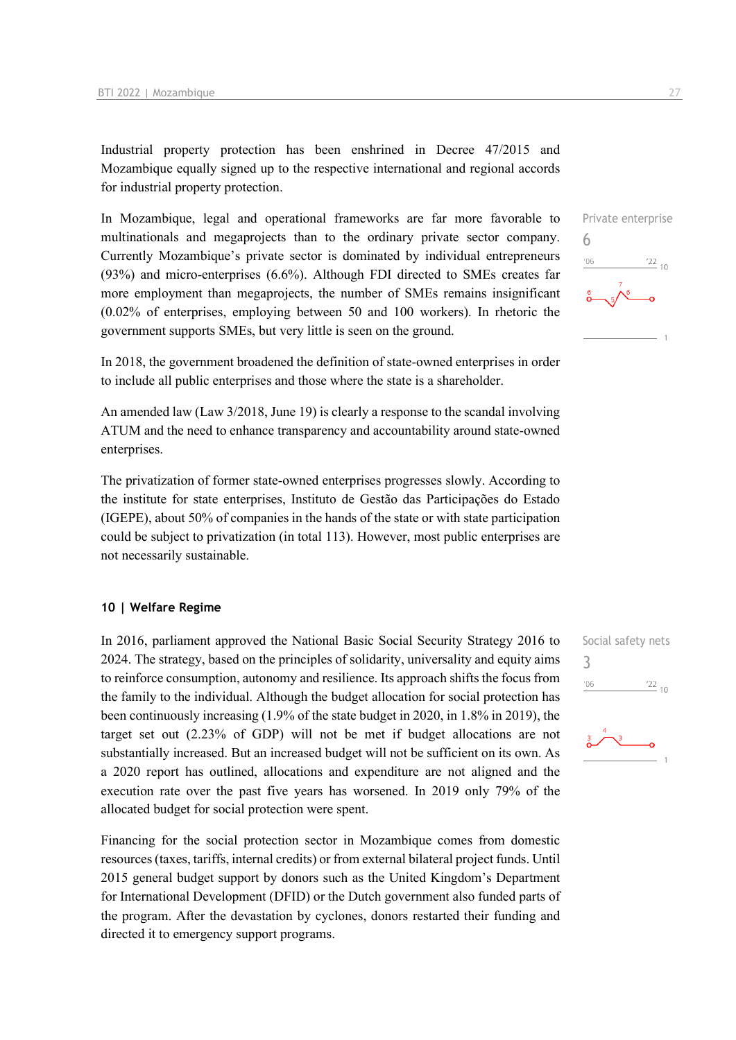Industrial property protection has been enshrined in Decree 47/2015 and Mozambique equally signed up to the respective international and regional accords for industrial property protection.

In Mozambique, legal and operational frameworks are far more favorable to multinationals and megaprojects than to the ordinary private sector company. Currently Mozambique's private sector is dominated by individual entrepreneurs (93%) and micro-enterprises (6.6%). Although FDI directed to SMEs creates far more employment than megaprojects, the number of SMEs remains insignificant (0.02% of enterprises, employing between 50 and 100 workers). In rhetoric the government supports SMEs, but very little is seen on the ground.

In 2018, the government broadened the definition of state-owned enterprises in order to include all public enterprises and those where the state is a shareholder.

An amended law (Law 3/2018, June 19) is clearly a response to the scandal involving ATUM and the need to enhance transparency and accountability around state-owned enterprises.

The privatization of former state-owned enterprises progresses slowly. According to the institute for state enterprises, Instituto de Gestão das Participações do Estado (IGEPE), about 50% of companies in the hands of the state or with state participation could be subject to privatization (in total 113). However, most public enterprises are not necessarily sustainable.

#### **10 | Welfare Regime**

In 2016, parliament approved the National Basic Social Security Strategy 2016 to 2024. The strategy, based on the principles of solidarity, universality and equity aims to reinforce consumption, autonomy and resilience. Its approach shifts the focus from the family to the individual. Although the budget allocation for social protection has been continuously increasing (1.9% of the state budget in 2020, in 1.8% in 2019), the target set out (2.23% of GDP) will not be met if budget allocations are not substantially increased. But an increased budget will not be sufficient on its own. As a 2020 report has outlined, allocations and expenditure are not aligned and the execution rate over the past five years has worsened. In 2019 only 79% of the allocated budget for social protection were spent.

Financing for the social protection sector in Mozambique comes from domestic resources (taxes, tariffs, internal credits) or from external bilateral project funds. Until 2015 general budget support by donors such as the United Kingdom's Department for International Development (DFID) or the Dutch government also funded parts of the program. After the devastation by cyclones, donors restarted their funding and directed it to emergency support programs.





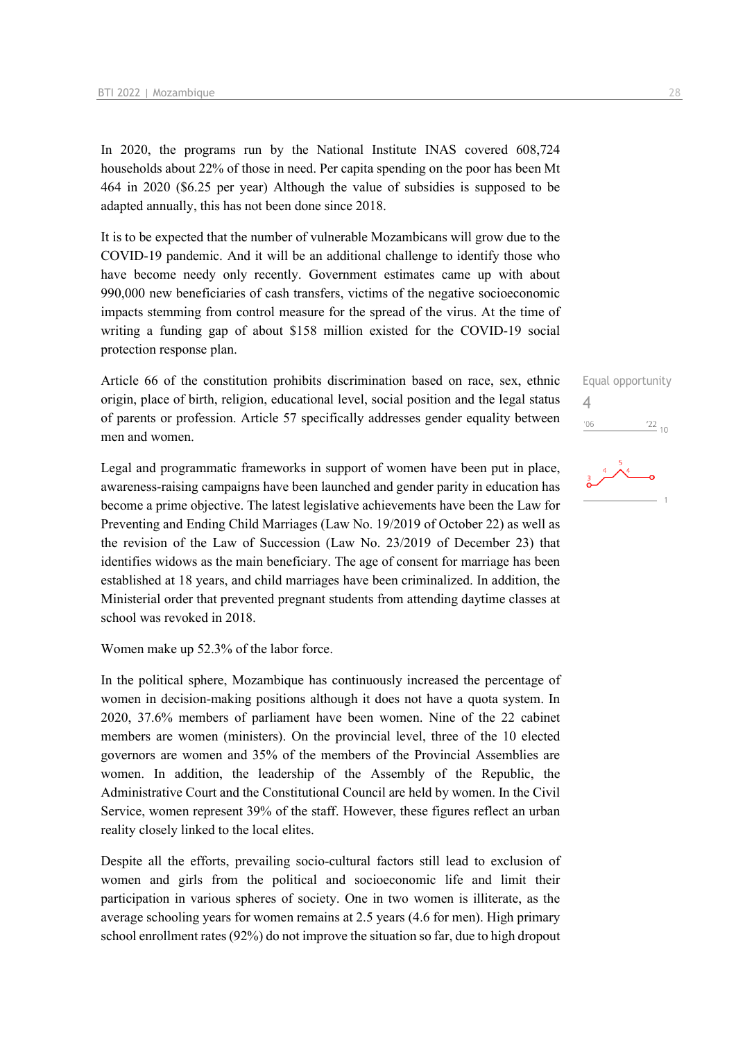In 2020, the programs run by the National Institute INAS covered 608,724 households about 22% of those in need. Per capita spending on the poor has been Mt 464 in 2020 (\$6.25 per year) Although the value of subsidies is supposed to be adapted annually, this has not been done since 2018.

It is to be expected that the number of vulnerable Mozambicans will grow due to the COVID-19 pandemic. And it will be an additional challenge to identify those who have become needy only recently. Government estimates came up with about 990,000 new beneficiaries of cash transfers, victims of the negative socioeconomic impacts stemming from control measure for the spread of the virus. At the time of writing a funding gap of about \$158 million existed for the COVID-19 social protection response plan.

Article 66 of the constitution prohibits discrimination based on race, sex, ethnic origin, place of birth, religion, educational level, social position and the legal status of parents or profession. Article 57 specifically addresses gender equality between men and women.

Legal and programmatic frameworks in support of women have been put in place, awareness-raising campaigns have been launched and gender parity in education has become a prime objective. The latest legislative achievements have been the Law for Preventing and Ending Child Marriages (Law No. 19/2019 of October 22) as well as the revision of the Law of Succession (Law No. 23/2019 of December 23) that identifies widows as the main beneficiary. The age of consent for marriage has been established at 18 years, and child marriages have been criminalized. In addition, the Ministerial order that prevented pregnant students from attending daytime classes at school was revoked in 2018.

Women make up 52.3% of the labor force.

In the political sphere, Mozambique has continuously increased the percentage of women in decision-making positions although it does not have a quota system. In 2020, 37.6% members of parliament have been women. Nine of the 22 cabinet members are women (ministers). On the provincial level, three of the 10 elected governors are women and 35% of the members of the Provincial Assemblies are women. In addition, the leadership of the Assembly of the Republic, the Administrative Court and the Constitutional Council are held by women. In the Civil Service, women represent 39% of the staff. However, these figures reflect an urban reality closely linked to the local elites.

Despite all the efforts, prevailing socio-cultural factors still lead to exclusion of women and girls from the political and socioeconomic life and limit their participation in various spheres of society. One in two women is illiterate, as the average schooling years for women remains at 2.5 years (4.6 for men). High primary school enrollment rates (92%) do not improve the situation so far, due to high dropout

Equal opportunity 4 $\frac{22}{10}$  $'06$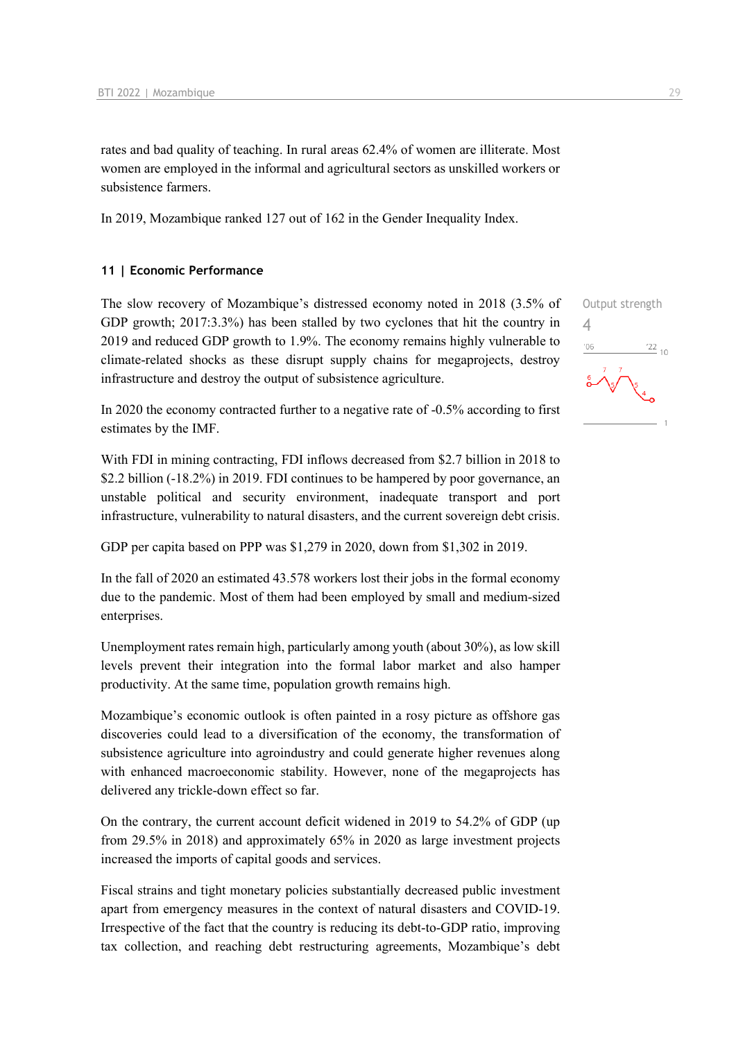rates and bad quality of teaching. In rural areas 62.4% of women are illiterate. Most women are employed in the informal and agricultural sectors as unskilled workers or subsistence farmers.

In 2019, Mozambique ranked 127 out of 162 in the Gender Inequality Index.

#### **11 | Economic Performance**

The slow recovery of Mozambique's distressed economy noted in 2018 (3.5% of GDP growth; 2017:3.3%) has been stalled by two cyclones that hit the country in 2019 and reduced GDP growth to 1.9%. The economy remains highly vulnerable to climate-related shocks as these disrupt supply chains for megaprojects, destroy infrastructure and destroy the output of subsistence agriculture.

In 2020 the economy contracted further to a negative rate of -0.5% according to first estimates by the IMF.

With FDI in mining contracting, FDI inflows decreased from \$2.7 billion in 2018 to \$2.2 billion (-18.2%) in 2019. FDI continues to be hampered by poor governance, an unstable political and security environment, inadequate transport and port infrastructure, vulnerability to natural disasters, and the current sovereign debt crisis.

GDP per capita based on PPP was \$1,279 in 2020, down from \$1,302 in 2019.

In the fall of 2020 an estimated 43.578 workers lost their jobs in the formal economy due to the pandemic. Most of them had been employed by small and medium-sized enterprises.

Unemployment rates remain high, particularly among youth (about 30%), as low skill levels prevent their integration into the formal labor market and also hamper productivity. At the same time, population growth remains high.

Mozambique's economic outlook is often painted in a rosy picture as offshore gas discoveries could lead to a diversification of the economy, the transformation of subsistence agriculture into agroindustry and could generate higher revenues along with enhanced macroeconomic stability. However, none of the megaprojects has delivered any trickle-down effect so far.

On the contrary, the current account deficit widened in 2019 to 54.2% of GDP (up from 29.5% in 2018) and approximately 65% in 2020 as large investment projects increased the imports of capital goods and services.

Fiscal strains and tight monetary policies substantially decreased public investment apart from emergency measures in the context of natural disasters and COVID-19. Irrespective of the fact that the country is reducing its debt-to-GDP ratio, improving tax collection, and reaching debt restructuring agreements, Mozambique's debt

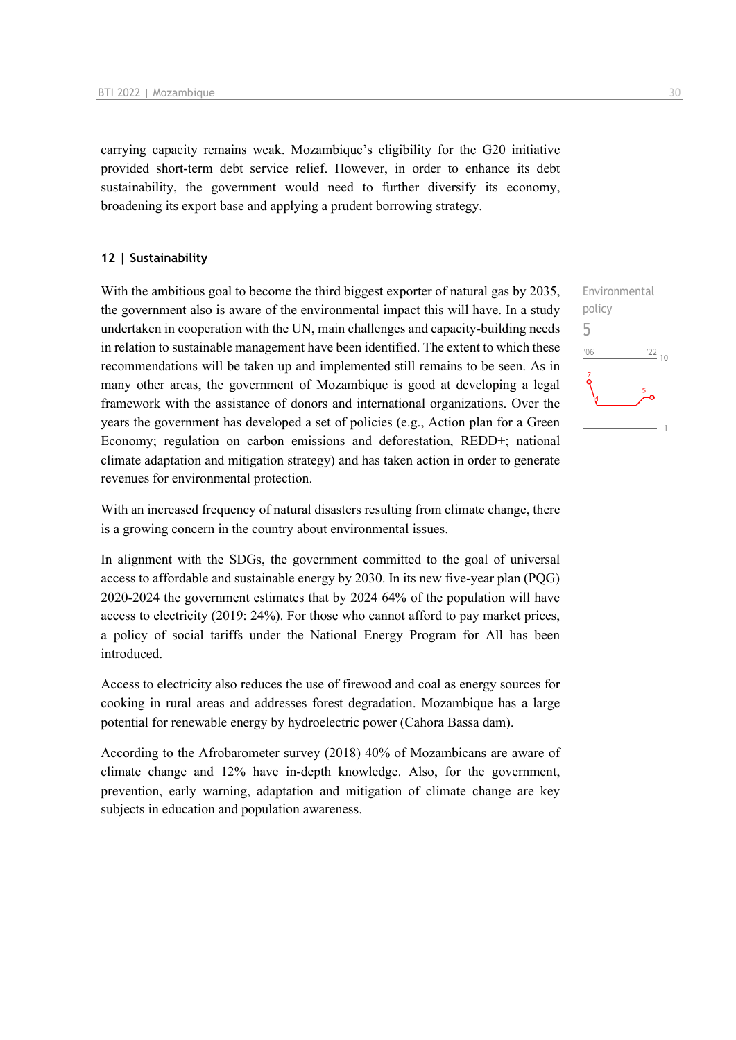carrying capacity remains weak. Mozambique's eligibility for the G20 initiative provided short-term debt service relief. However, in order to enhance its debt sustainability, the government would need to further diversify its economy, broadening its export base and applying a prudent borrowing strategy.

#### **12 | Sustainability**

With the ambitious goal to become the third biggest exporter of natural gas by 2035, the government also is aware of the environmental impact this will have. In a study undertaken in cooperation with the UN, main challenges and capacity-building needs in relation to sustainable management have been identified. The extent to which these recommendations will be taken up and implemented still remains to be seen. As in many other areas, the government of Mozambique is good at developing a legal framework with the assistance of donors and international organizations. Over the years the government has developed a set of policies (e.g., Action plan for a Green Economy; regulation on carbon emissions and deforestation, REDD+; national climate adaptation and mitigation strategy) and has taken action in order to generate revenues for environmental protection.

With an increased frequency of natural disasters resulting from climate change, there is a growing concern in the country about environmental issues.

In alignment with the SDGs, the government committed to the goal of universal access to affordable and sustainable energy by 2030. In its new five-year plan (PQG) 2020-2024 the government estimates that by 2024 64% of the population will have access to electricity (2019: 24%). For those who cannot afford to pay market prices, a policy of social tariffs under the National Energy Program for All has been introduced.

Access to electricity also reduces the use of firewood and coal as energy sources for cooking in rural areas and addresses forest degradation. Mozambique has a large potential for renewable energy by hydroelectric power (Cahora Bassa dam).

According to the Afrobarometer survey (2018) 40% of Mozambicans are aware of climate change and 12% have in-depth knowledge. Also, for the government, prevention, early warning, adaptation and mitigation of climate change are key subjects in education and population awareness.

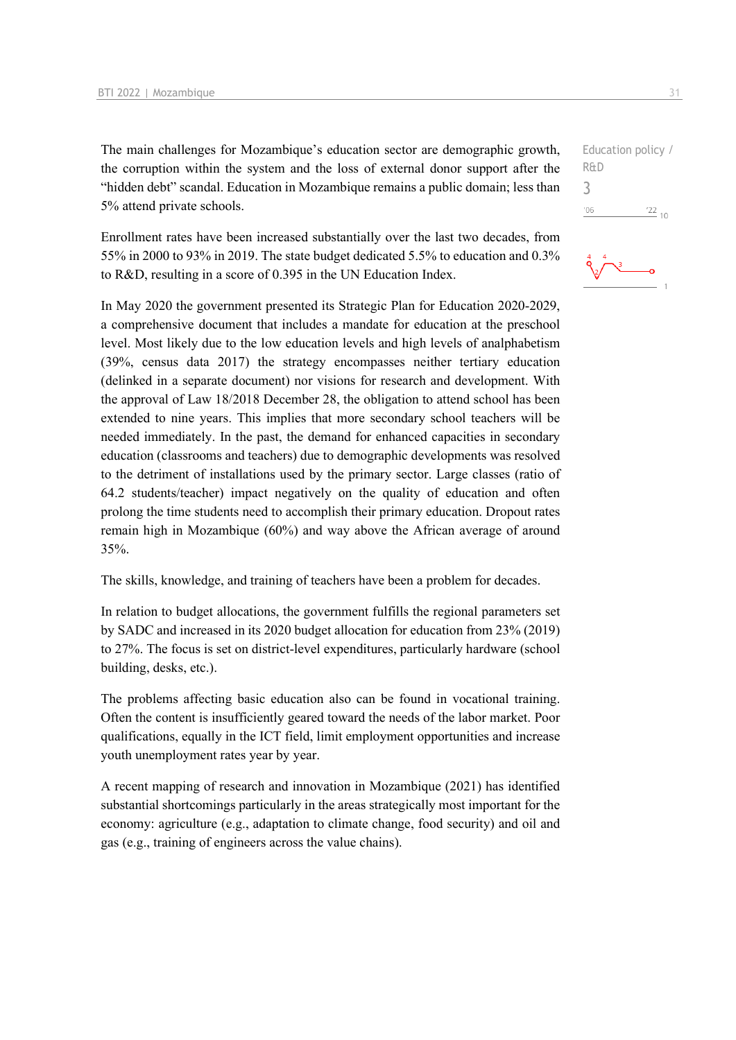The main challenges for Mozambique's education sector are demographic growth, the corruption within the system and the loss of external donor support after the "hidden debt" scandal. Education in Mozambique remains a public domain; less than 5% attend private schools.

Enrollment rates have been increased substantially over the last two decades, from 55% in 2000 to 93% in 2019. The state budget dedicated 5.5% to education and 0.3% to R&D, resulting in a score of 0.395 in the UN Education Index.

In May 2020 the government presented its Strategic Plan for Education 2020-2029, a comprehensive document that includes a mandate for education at the preschool level. Most likely due to the low education levels and high levels of analphabetism (39%, census data 2017) the strategy encompasses neither tertiary education (delinked in a separate document) nor visions for research and development. With the approval of Law 18/2018 December 28, the obligation to attend school has been extended to nine years. This implies that more secondary school teachers will be needed immediately. In the past, the demand for enhanced capacities in secondary education (classrooms and teachers) due to demographic developments was resolved to the detriment of installations used by the primary sector. Large classes (ratio of 64.2 students/teacher) impact negatively on the quality of education and often prolong the time students need to accomplish their primary education. Dropout rates remain high in Mozambique (60%) and way above the African average of around 35%.

The skills, knowledge, and training of teachers have been a problem for decades.

In relation to budget allocations, the government fulfills the regional parameters set by SADC and increased in its 2020 budget allocation for education from 23% (2019) to 27%. The focus is set on district-level expenditures, particularly hardware (school building, desks, etc.).

The problems affecting basic education also can be found in vocational training. Often the content is insufficiently geared toward the needs of the labor market. Poor qualifications, equally in the ICT field, limit employment opportunities and increase youth unemployment rates year by year.

A recent mapping of research and innovation in Mozambique (2021) has identified substantial shortcomings particularly in the areas strategically most important for the economy: agriculture (e.g., adaptation to climate change, food security) and oil and gas (e.g., training of engineers across the value chains).

Education policy / R&D 3 $-06$  $\frac{22}{10}$ 

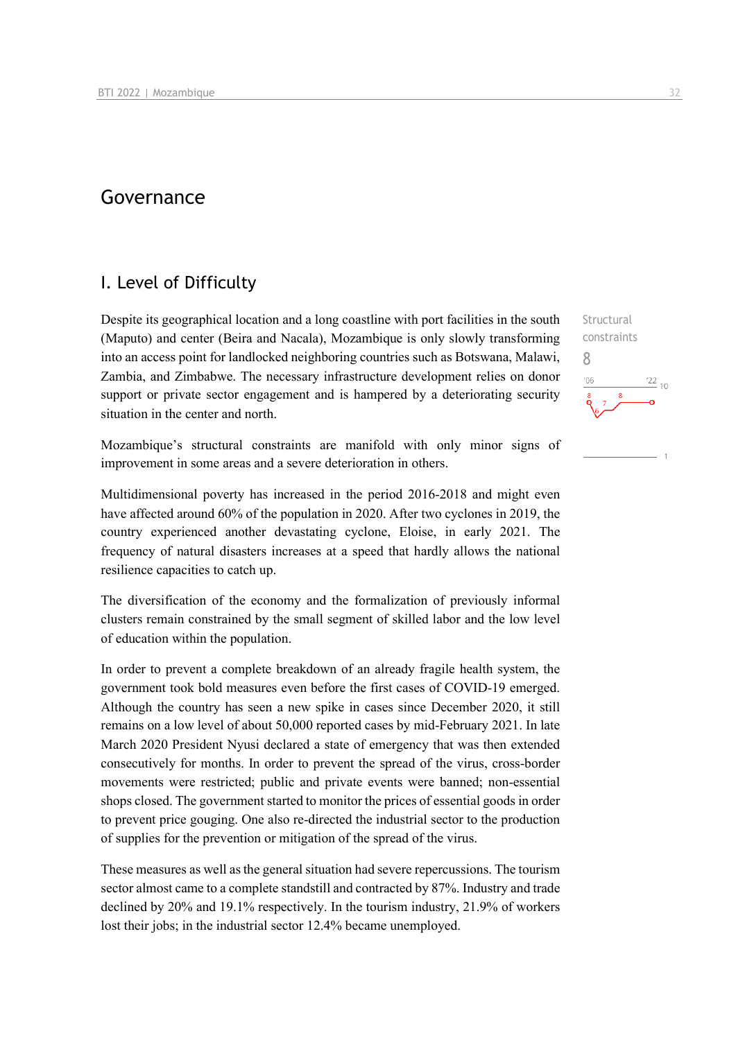## Governance

### I. Level of Difficulty

Despite its geographical location and a long coastline with port facilities in the south (Maputo) and center (Beira and Nacala), Mozambique is only slowly transforming into an access point for landlocked neighboring countries such as Botswana, Malawi, Zambia, and Zimbabwe. The necessary infrastructure development relies on donor support or private sector engagement and is hampered by a deteriorating security situation in the center and north.

Mozambique's structural constraints are manifold with only minor signs of improvement in some areas and a severe deterioration in others.

Multidimensional poverty has increased in the period 2016-2018 and might even have affected around 60% of the population in 2020. After two cyclones in 2019, the country experienced another devastating cyclone, Eloise, in early 2021. The frequency of natural disasters increases at a speed that hardly allows the national resilience capacities to catch up.

The diversification of the economy and the formalization of previously informal clusters remain constrained by the small segment of skilled labor and the low level of education within the population.

In order to prevent a complete breakdown of an already fragile health system, the government took bold measures even before the first cases of COVID-19 emerged. Although the country has seen a new spike in cases since December 2020, it still remains on a low level of about 50,000 reported cases by mid-February 2021. In late March 2020 President Nyusi declared a state of emergency that was then extended consecutively for months. In order to prevent the spread of the virus, cross-border movements were restricted; public and private events were banned; non-essential shops closed. The government started to monitor the prices of essential goods in order to prevent price gouging. One also re-directed the industrial sector to the production of supplies for the prevention or mitigation of the spread of the virus.

These measures as well as the general situation had severe repercussions. The tourism sector almost came to a complete standstill and contracted by 87%. Industry and trade declined by 20% and 19.1% respectively. In the tourism industry, 21.9% of workers lost their jobs; in the industrial sector 12.4% became unemployed.

Structural

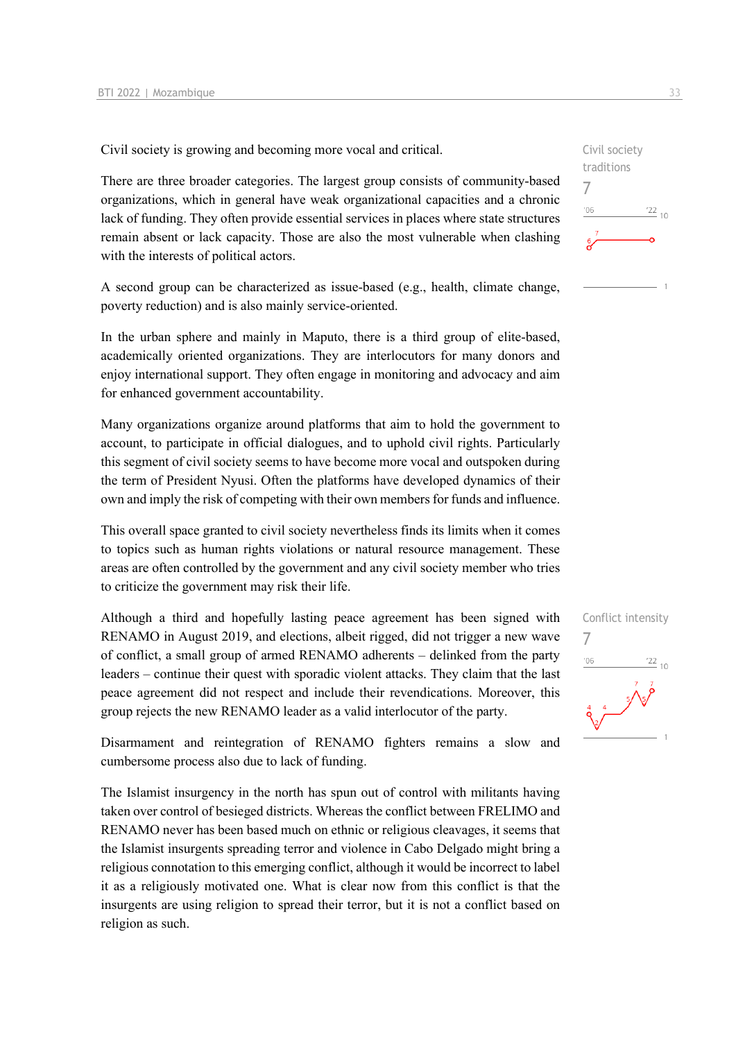Civil society is growing and becoming more vocal and critical.

There are three broader categories. The largest group consists of community-based organizations, which in general have weak organizational capacities and a chronic lack of funding. They often provide essential services in places where state structures remain absent or lack capacity. Those are also the most vulnerable when clashing with the interests of political actors.

A second group can be characterized as issue-based (e.g., health, climate change, poverty reduction) and is also mainly service-oriented.

In the urban sphere and mainly in Maputo, there is a third group of elite-based, academically oriented organizations. They are interlocutors for many donors and enjoy international support. They often engage in monitoring and advocacy and aim for enhanced government accountability.

Many organizations organize around platforms that aim to hold the government to account, to participate in official dialogues, and to uphold civil rights. Particularly this segment of civil society seems to have become more vocal and outspoken during the term of President Nyusi. Often the platforms have developed dynamics of their own and imply the risk of competing with their own members for funds and influence.

This overall space granted to civil society nevertheless finds its limits when it comes to topics such as human rights violations or natural resource management. These areas are often controlled by the government and any civil society member who tries to criticize the government may risk their life.

Although a third and hopefully lasting peace agreement has been signed with RENAMO in August 2019, and elections, albeit rigged, did not trigger a new wave of conflict, a small group of armed RENAMO adherents – delinked from the party leaders – continue their quest with sporadic violent attacks. They claim that the last peace agreement did not respect and include their revendications. Moreover, this group rejects the new RENAMO leader as a valid interlocutor of the party.

Disarmament and reintegration of RENAMO fighters remains a slow and cumbersome process also due to lack of funding.

The Islamist insurgency in the north has spun out of control with militants having taken over control of besieged districts. Whereas the conflict between FRELIMO and RENAMO never has been based much on ethnic or religious cleavages, it seems that the Islamist insurgents spreading terror and violence in Cabo Delgado might bring a religious connotation to this emerging conflict, although it would be incorrect to label it as a religiously motivated one. What is clear now from this conflict is that the insurgents are using religion to spread their terror, but it is not a conflict based on religion as such.



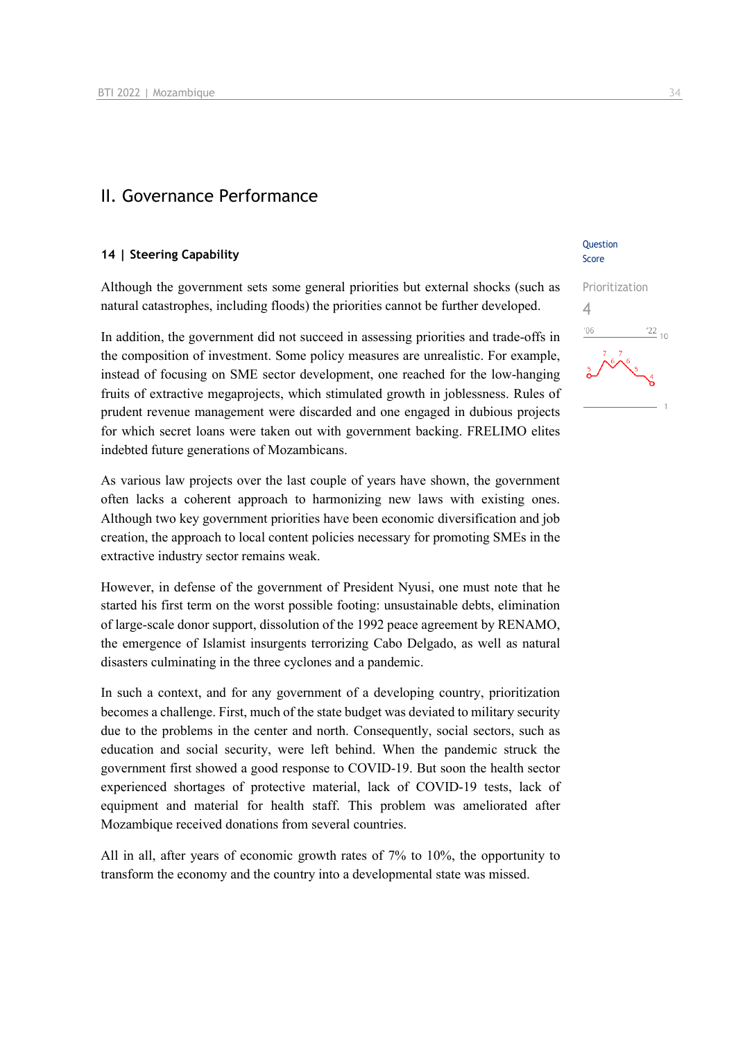### II. Governance Performance

#### **14 | Steering Capability**

Although the government sets some general priorities but external shocks (such as natural catastrophes, including floods) the priorities cannot be further developed.

In addition, the government did not succeed in assessing priorities and trade-offs in the composition of investment. Some policy measures are unrealistic. For example, instead of focusing on SME sector development, one reached for the low-hanging fruits of extractive megaprojects, which stimulated growth in joblessness. Rules of prudent revenue management were discarded and one engaged in dubious projects for which secret loans were taken out with government backing. FRELIMO elites indebted future generations of Mozambicans.

As various law projects over the last couple of years have shown, the government often lacks a coherent approach to harmonizing new laws with existing ones. Although two key government priorities have been economic diversification and job creation, the approach to local content policies necessary for promoting SMEs in the extractive industry sector remains weak.

However, in defense of the government of President Nyusi, one must note that he started his first term on the worst possible footing: unsustainable debts, elimination of large-scale donor support, dissolution of the 1992 peace agreement by RENAMO, the emergence of Islamist insurgents terrorizing Cabo Delgado, as well as natural disasters culminating in the three cyclones and a pandemic.

In such a context, and for any government of a developing country, prioritization becomes a challenge. First, much of the state budget was deviated to military security due to the problems in the center and north. Consequently, social sectors, such as education and social security, were left behind. When the pandemic struck the government first showed a good response to COVID-19. But soon the health sector experienced shortages of protective material, lack of COVID-19 tests, lack of equipment and material for health staff. This problem was ameliorated after Mozambique received donations from several countries.

All in all, after years of economic growth rates of 7% to 10%, the opportunity to transform the economy and the country into a developmental state was missed.

#### **Ouestion** Score

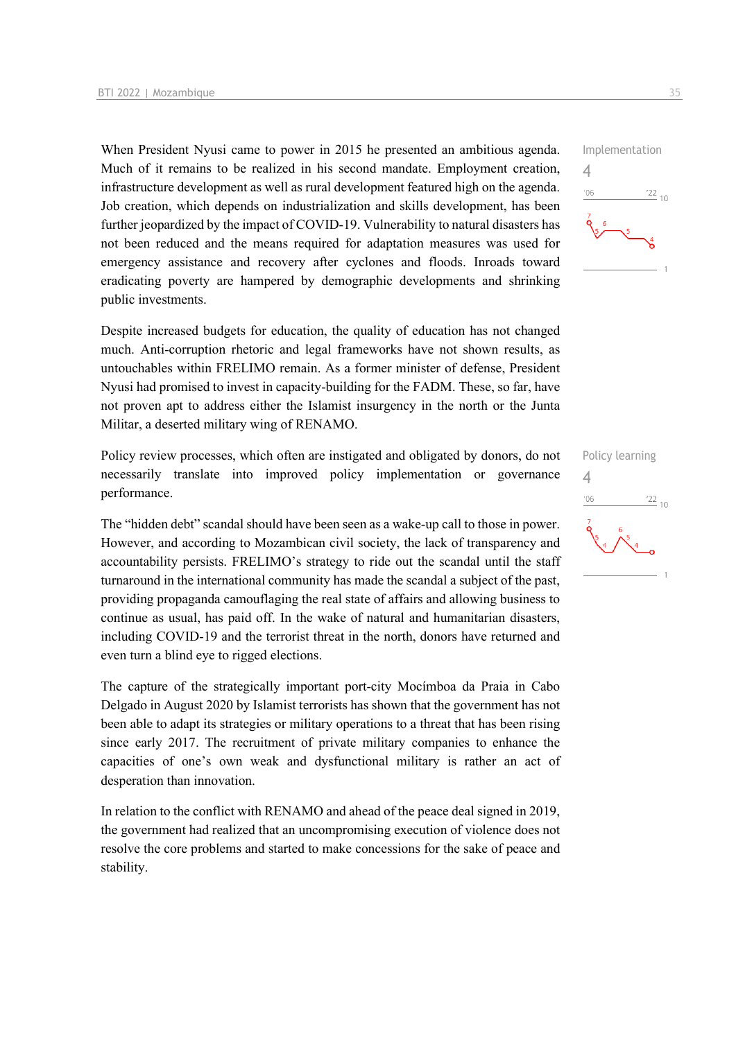When President Nyusi came to power in 2015 he presented an ambitious agenda. Much of it remains to be realized in his second mandate. Employment creation, infrastructure development as well as rural development featured high on the agenda. Job creation, which depends on industrialization and skills development, has been further jeopardized by the impact of COVID-19. Vulnerability to natural disasters has not been reduced and the means required for adaptation measures was used for emergency assistance and recovery after cyclones and floods. Inroads toward eradicating poverty are hampered by demographic developments and shrinking public investments.

Despite increased budgets for education, the quality of education has not changed much. Anti-corruption rhetoric and legal frameworks have not shown results, as untouchables within FRELIMO remain. As a former minister of defense, President Nyusi had promised to invest in capacity-building for the FADM. These, so far, have not proven apt to address either the Islamist insurgency in the north or the Junta Militar, a deserted military wing of RENAMO.

Policy review processes, which often are instigated and obligated by donors, do not necessarily translate into improved policy implementation or governance performance.

The "hidden debt" scandal should have been seen as a wake-up call to those in power. However, and according to Mozambican civil society, the lack of transparency and accountability persists. FRELIMO's strategy to ride out the scandal until the staff turnaround in the international community has made the scandal a subject of the past, providing propaganda camouflaging the real state of affairs and allowing business to continue as usual, has paid off. In the wake of natural and humanitarian disasters, including COVID-19 and the terrorist threat in the north, donors have returned and even turn a blind eye to rigged elections.

The capture of the strategically important port-city Mocímboa da Praia in Cabo Delgado in August 2020 by Islamist terrorists has shown that the government has not been able to adapt its strategies or military operations to a threat that has been rising since early 2017. The recruitment of private military companies to enhance the capacities of one's own weak and dysfunctional military is rather an act of desperation than innovation.

In relation to the conflict with RENAMO and ahead of the peace deal signed in 2019, the government had realized that an uncompromising execution of violence does not resolve the core problems and started to make concessions for the sake of peace and stability.



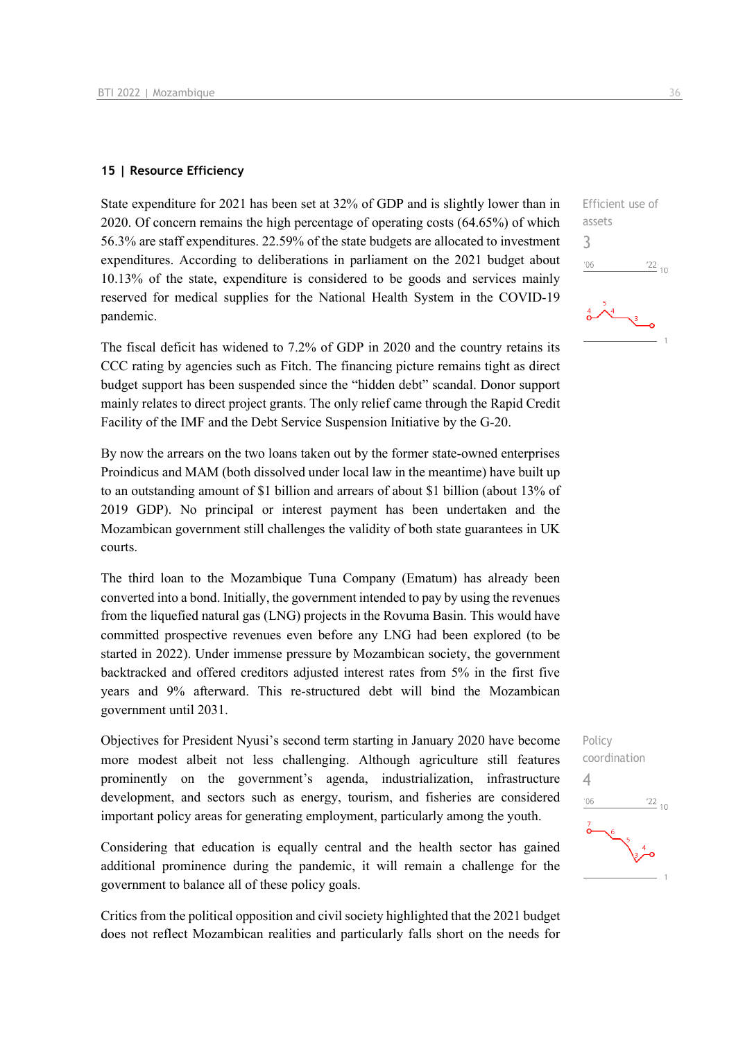#### **15 | Resource Efficiency**

State expenditure for 2021 has been set at 32% of GDP and is slightly lower than in 2020. Of concern remains the high percentage of operating costs (64.65%) of which 56.3% are staff expenditures. 22.59% of the state budgets are allocated to investment expenditures. According to deliberations in parliament on the 2021 budget about 10.13% of the state, expenditure is considered to be goods and services mainly reserved for medical supplies for the National Health System in the COVID-19 pandemic.

The fiscal deficit has widened to 7.2% of GDP in 2020 and the country retains its CCC rating by agencies such as Fitch. The financing picture remains tight as direct budget support has been suspended since the "hidden debt" scandal. Donor support mainly relates to direct project grants. The only relief came through the Rapid Credit Facility of the IMF and the Debt Service Suspension Initiative by the G-20.

By now the arrears on the two loans taken out by the former state-owned enterprises Proindicus and MAM (both dissolved under local law in the meantime) have built up to an outstanding amount of \$1 billion and arrears of about \$1 billion (about 13% of 2019 GDP). No principal or interest payment has been undertaken and the Mozambican government still challenges the validity of both state guarantees in UK courts.

The third loan to the Mozambique Tuna Company (Ematum) has already been converted into a bond. Initially, the government intended to pay by using the revenues from the liquefied natural gas (LNG) projects in the Rovuma Basin. This would have committed prospective revenues even before any LNG had been explored (to be started in 2022). Under immense pressure by Mozambican society, the government backtracked and offered creditors adjusted interest rates from 5% in the first five years and 9% afterward. This re-structured debt will bind the Mozambican government until 2031.

Objectives for President Nyusi's second term starting in January 2020 have become more modest albeit not less challenging. Although agriculture still features prominently on the government's agenda, industrialization, infrastructure development, and sectors such as energy, tourism, and fisheries are considered important policy areas for generating employment, particularly among the youth.

Considering that education is equally central and the health sector has gained additional prominence during the pandemic, it will remain a challenge for the government to balance all of these policy goals.

Critics from the political opposition and civil society highlighted that the 2021 budget does not reflect Mozambican realities and particularly falls short on the needs for

3

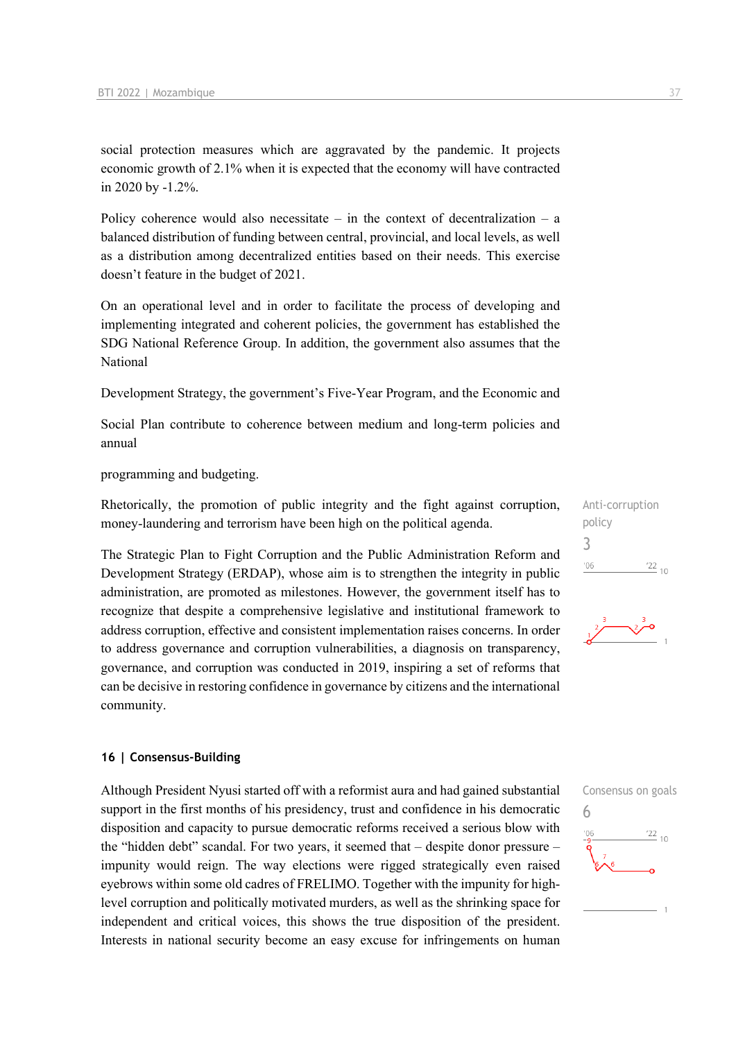social protection measures which are aggravated by the pandemic. It projects economic growth of 2.1% when it is expected that the economy will have contracted in 2020 by -1.2%.

Policy coherence would also necessitate – in the context of decentralization – a balanced distribution of funding between central, provincial, and local levels, as well as a distribution among decentralized entities based on their needs. This exercise doesn't feature in the budget of 2021.

On an operational level and in order to facilitate the process of developing and implementing integrated and coherent policies, the government has established the SDG National Reference Group. In addition, the government also assumes that the National

Development Strategy, the government's Five-Year Program, and the Economic and

Social Plan contribute to coherence between medium and long-term policies and annual

programming and budgeting.

Rhetorically, the promotion of public integrity and the fight against corruption, money-laundering and terrorism have been high on the political agenda.

The Strategic Plan to Fight Corruption and the Public Administration Reform and Development Strategy (ERDAP), whose aim is to strengthen the integrity in public administration, are promoted as milestones. However, the government itself has to recognize that despite a comprehensive legislative and institutional framework to address corruption, effective and consistent implementation raises concerns. In order to address governance and corruption vulnerabilities, a diagnosis on transparency, governance, and corruption was conducted in 2019, inspiring a set of reforms that can be decisive in restoring confidence in governance by citizens and the international community.

#### **16 | Consensus-Building**

Although President Nyusi started off with a reformist aura and had gained substantial support in the first months of his presidency, trust and confidence in his democratic disposition and capacity to pursue democratic reforms received a serious blow with the "hidden debt" scandal. For two years, it seemed that – despite donor pressure – impunity would reign. The way elections were rigged strategically even raised eyebrows within some old cadres of FRELIMO. Together with the impunity for highlevel corruption and politically motivated murders, as well as the shrinking space for independent and critical voices, this shows the true disposition of the president. Interests in national security become an easy excuse for infringements on human





## Consensus on goals 6 $\frac{22}{10}$  $106$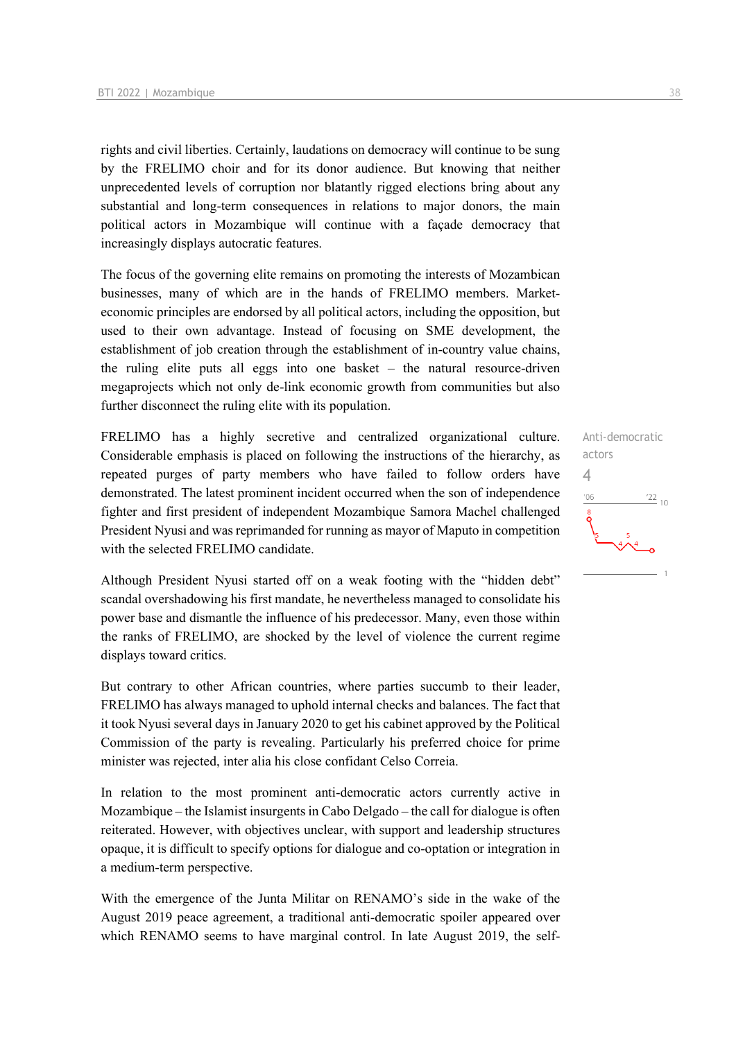rights and civil liberties. Certainly, laudations on democracy will continue to be sung by the FRELIMO choir and for its donor audience. But knowing that neither unprecedented levels of corruption nor blatantly rigged elections bring about any substantial and long-term consequences in relations to major donors, the main political actors in Mozambique will continue with a façade democracy that increasingly displays autocratic features.

The focus of the governing elite remains on promoting the interests of Mozambican businesses, many of which are in the hands of FRELIMO members. Marketeconomic principles are endorsed by all political actors, including the opposition, but used to their own advantage. Instead of focusing on SME development, the establishment of job creation through the establishment of in-country value chains, the ruling elite puts all eggs into one basket – the natural resource-driven megaprojects which not only de-link economic growth from communities but also further disconnect the ruling elite with its population.

FRELIMO has a highly secretive and centralized organizational culture. Considerable emphasis is placed on following the instructions of the hierarchy, as repeated purges of party members who have failed to follow orders have demonstrated. The latest prominent incident occurred when the son of independence fighter and first president of independent Mozambique Samora Machel challenged President Nyusi and was reprimanded for running as mayor of Maputo in competition with the selected FRELIMO candidate.

Although President Nyusi started off on a weak footing with the "hidden debt" scandal overshadowing his first mandate, he nevertheless managed to consolidate his power base and dismantle the influence of his predecessor. Many, even those within the ranks of FRELIMO, are shocked by the level of violence the current regime displays toward critics.

But contrary to other African countries, where parties succumb to their leader, FRELIMO has always managed to uphold internal checks and balances. The fact that it took Nyusi several days in January 2020 to get his cabinet approved by the Political Commission of the party is revealing. Particularly his preferred choice for prime minister was rejected, inter alia his close confidant Celso Correia.

In relation to the most prominent anti-democratic actors currently active in Mozambique – the Islamist insurgents in Cabo Delgado – the call for dialogue is often reiterated. However, with objectives unclear, with support and leadership structures opaque, it is difficult to specify options for dialogue and co-optation or integration in a medium-term perspective.

With the emergence of the Junta Militar on RENAMO's side in the wake of the August 2019 peace agreement, a traditional anti-democratic spoiler appeared over which RENAMO seems to have marginal control. In late August 2019, the self-

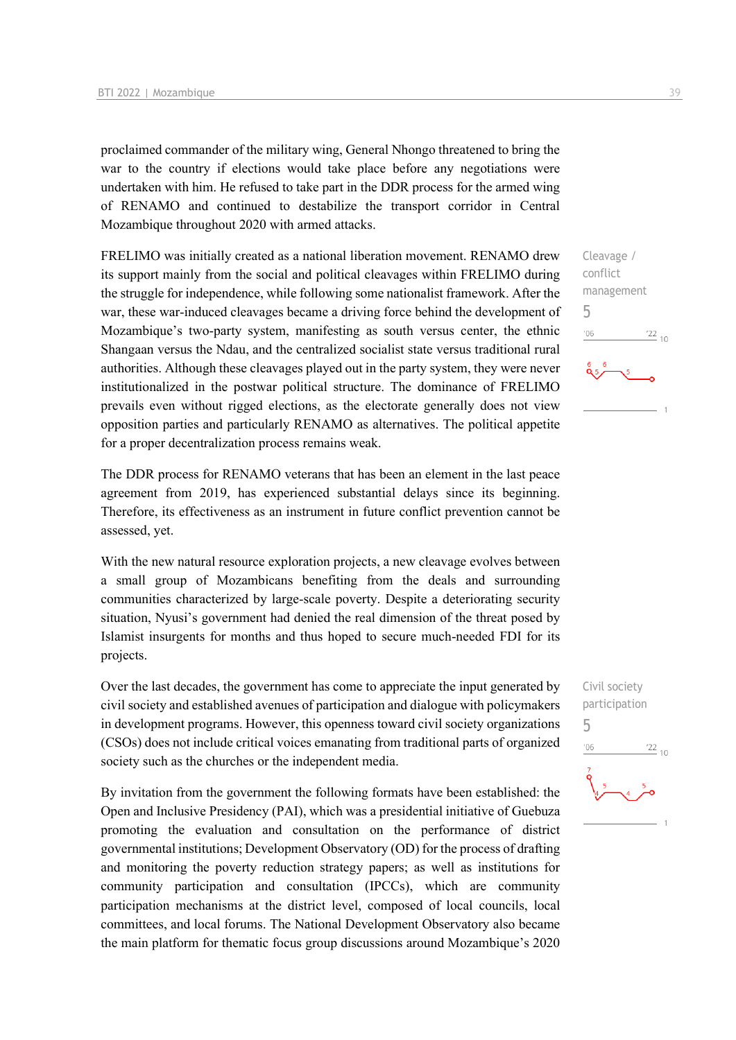proclaimed commander of the military wing, General Nhongo threatened to bring the war to the country if elections would take place before any negotiations were undertaken with him. He refused to take part in the DDR process for the armed wing of RENAMO and continued to destabilize the transport corridor in Central Mozambique throughout 2020 with armed attacks.

FRELIMO was initially created as a national liberation movement. RENAMO drew its support mainly from the social and political cleavages within FRELIMO during the struggle for independence, while following some nationalist framework. After the war, these war-induced cleavages became a driving force behind the development of Mozambique's two-party system, manifesting as south versus center, the ethnic Shangaan versus the Ndau, and the centralized socialist state versus traditional rural authorities. Although these cleavages played out in the party system, they were never institutionalized in the postwar political structure. The dominance of FRELIMO prevails even without rigged elections, as the electorate generally does not view opposition parties and particularly RENAMO as alternatives. The political appetite for a proper decentralization process remains weak.

The DDR process for RENAMO veterans that has been an element in the last peace agreement from 2019, has experienced substantial delays since its beginning. Therefore, its effectiveness as an instrument in future conflict prevention cannot be assessed, yet.

With the new natural resource exploration projects, a new cleavage evolves between a small group of Mozambicans benefiting from the deals and surrounding communities characterized by large-scale poverty. Despite a deteriorating security situation, Nyusi's government had denied the real dimension of the threat posed by Islamist insurgents for months and thus hoped to secure much-needed FDI for its projects.

Over the last decades, the government has come to appreciate the input generated by civil society and established avenues of participation and dialogue with policymakers in development programs. However, this openness toward civil society organizations (CSOs) does not include critical voices emanating from traditional parts of organized society such as the churches or the independent media.

By invitation from the government the following formats have been established: the Open and Inclusive Presidency (PAI), which was a presidential initiative of Guebuza promoting the evaluation and consultation on the performance of district governmental institutions; Development Observatory (OD) for the process of drafting and monitoring the poverty reduction strategy papers; as well as institutions for community participation and consultation (IPCCs), which are community participation mechanisms at the district level, composed of local councils, local committees, and local forums. The National Development Observatory also became the main platform for thematic focus group discussions around Mozambique's 2020

Cleavage / conflict management 5  $^{\prime}06$  $\frac{22}{10}$ 

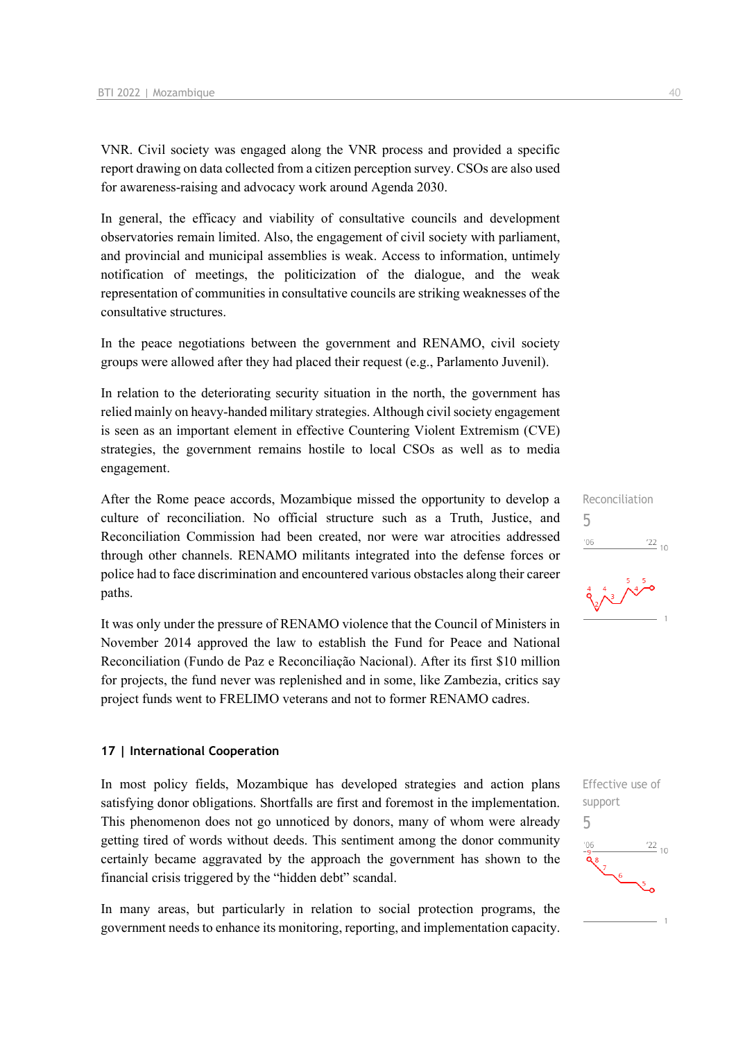VNR. Civil society was engaged along the VNR process and provided a specific report drawing on data collected from a citizen perception survey. CSOs are also used for awareness-raising and advocacy work around Agenda 2030.

In general, the efficacy and viability of consultative councils and development observatories remain limited. Also, the engagement of civil society with parliament, and provincial and municipal assemblies is weak. Access to information, untimely notification of meetings, the politicization of the dialogue, and the weak representation of communities in consultative councils are striking weaknesses of the consultative structures.

In the peace negotiations between the government and RENAMO, civil society groups were allowed after they had placed their request (e.g., Parlamento Juvenil).

In relation to the deteriorating security situation in the north, the government has relied mainly on heavy-handed military strategies. Although civil society engagement is seen as an important element in effective Countering Violent Extremism (CVE) strategies, the government remains hostile to local CSOs as well as to media engagement.

After the Rome peace accords, Mozambique missed the opportunity to develop a culture of reconciliation. No official structure such as a Truth, Justice, and Reconciliation Commission had been created, nor were war atrocities addressed through other channels. RENAMO militants integrated into the defense forces or police had to face discrimination and encountered various obstacles along their career paths.

It was only under the pressure of RENAMO violence that the Council of Ministers in November 2014 approved the law to establish the Fund for Peace and National Reconciliation (Fundo de Paz e Reconciliação Nacional). After its first \$10 million for projects, the fund never was replenished and in some, like Zambezia, critics say project funds went to FRELIMO veterans and not to former RENAMO cadres.

#### **17 | International Cooperation**

In most policy fields, Mozambique has developed strategies and action plans satisfying donor obligations. Shortfalls are first and foremost in the implementation. This phenomenon does not go unnoticed by donors, many of whom were already getting tired of words without deeds. This sentiment among the donor community certainly became aggravated by the approach the government has shown to the financial crisis triggered by the "hidden debt" scandal.

In many areas, but particularly in relation to social protection programs, the government needs to enhance its monitoring, reporting, and implementation capacity.

Reconciliation 5  $\frac{22}{10}$  $106$ 

$$
\frac{4}{3}
$$
  $\frac{4}{3}$   $\frac{5}{4}$ 

Effective use of support 5 $\frac{22}{10}$  $106$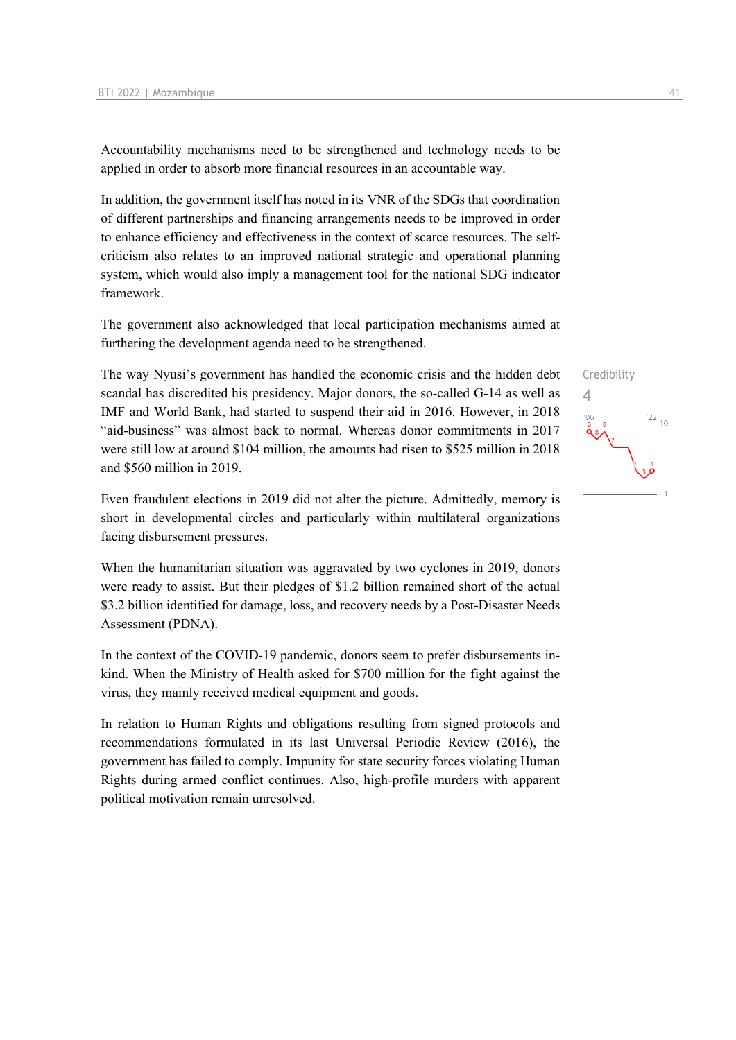Accountability mechanisms need to be strengthened and technology needs to be applied in order to absorb more financial resources in an accountable way.

In addition, the government itself has noted in its VNR of the SDGs that coordination of different partnerships and financing arrangements needs to be improved in order to enhance efficiency and effectiveness in the context of scarce resources. The selfcriticism also relates to an improved national strategic and operational planning system, which would also imply a management tool for the national SDG indicator framework.

The government also acknowledged that local participation mechanisms aimed at furthering the development agenda need to be strengthened.

The way Nyusi's government has handled the economic crisis and the hidden debt scandal has discredited his presidency. Major donors, the so-called G-14 as well as IMF and World Bank, had started to suspend their aid in 2016. However, in 2018 "aid-business" was almost back to normal. Whereas donor commitments in 2017 were still low at around \$104 million, the amounts had risen to \$525 million in 2018 and \$560 million in 2019.

Even fraudulent elections in 2019 did not alter the picture. Admittedly, memory is short in developmental circles and particularly within multilateral organizations facing disbursement pressures.

When the humanitarian situation was aggravated by two cyclones in 2019, donors were ready to assist. But their pledges of \$1.2 billion remained short of the actual \$3.2 billion identified for damage, loss, and recovery needs by a Post-Disaster Needs Assessment (PDNA).

In the context of the COVID-19 pandemic, donors seem to prefer disbursements inkind. When the Ministry of Health asked for \$700 million for the fight against the virus, they mainly received medical equipment and goods.

In relation to Human Rights and obligations resulting from signed protocols and recommendations formulated in its last Universal Periodic Review (2016), the government has failed to comply. Impunity for state security forces violating Human Rights during armed conflict continues. Also, high-profile murders with apparent political motivation remain unresolved.

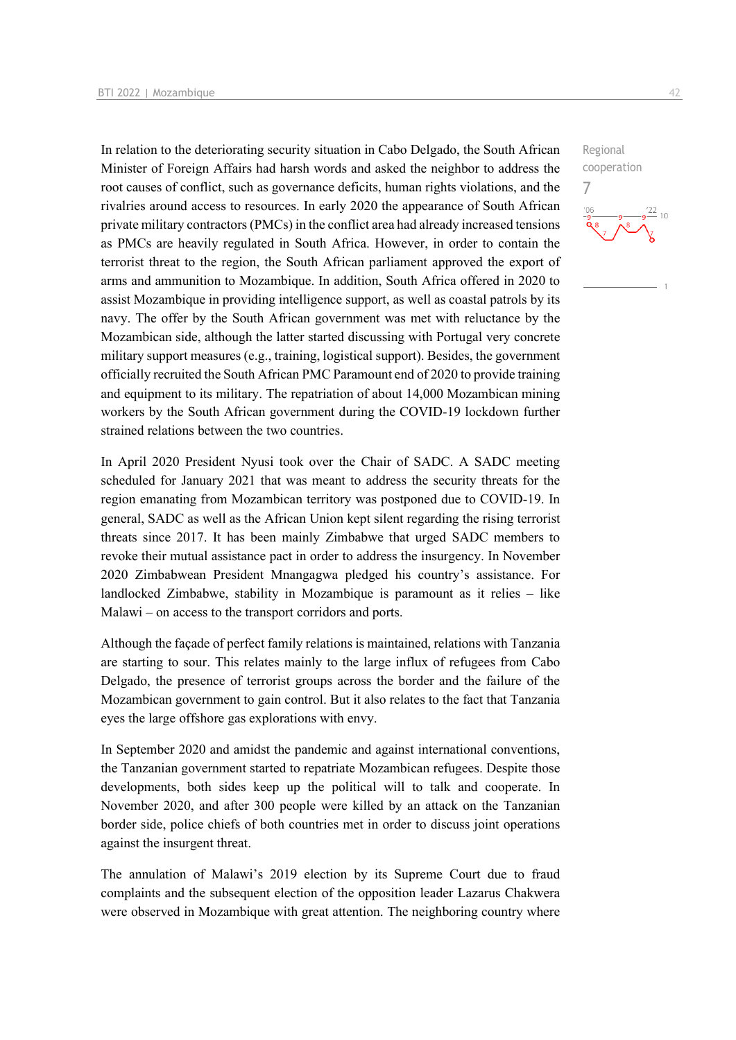In relation to the deteriorating security situation in Cabo Delgado, the South African Minister of Foreign Affairs had harsh words and asked the neighbor to address the root causes of conflict, such as governance deficits, human rights violations, and the rivalries around access to resources. In early 2020 the appearance of South African private military contractors (PMCs) in the conflict area had already increased tensions as PMCs are heavily regulated in South Africa. However, in order to contain the terrorist threat to the region, the South African parliament approved the export of arms and ammunition to Mozambique. In addition, South Africa offered in 2020 to assist Mozambique in providing intelligence support, as well as coastal patrols by its navy. The offer by the South African government was met with reluctance by the Mozambican side, although the latter started discussing with Portugal very concrete military support measures (e.g., training, logistical support). Besides, the government officially recruited the South African PMC Paramount end of 2020 to provide training and equipment to its military. The repatriation of about 14,000 Mozambican mining workers by the South African government during the COVID-19 lockdown further strained relations between the two countries.

In April 2020 President Nyusi took over the Chair of SADC. A SADC meeting scheduled for January 2021 that was meant to address the security threats for the region emanating from Mozambican territory was postponed due to COVID-19. In general, SADC as well as the African Union kept silent regarding the rising terrorist threats since 2017. It has been mainly Zimbabwe that urged SADC members to revoke their mutual assistance pact in order to address the insurgency. In November 2020 Zimbabwean President Mnangagwa pledged his country's assistance. For landlocked Zimbabwe, stability in Mozambique is paramount as it relies – like Malawi – on access to the transport corridors and ports.

Although the façade of perfect family relations is maintained, relations with Tanzania are starting to sour. This relates mainly to the large influx of refugees from Cabo Delgado, the presence of terrorist groups across the border and the failure of the Mozambican government to gain control. But it also relates to the fact that Tanzania eyes the large offshore gas explorations with envy.

In September 2020 and amidst the pandemic and against international conventions, the Tanzanian government started to repatriate Mozambican refugees. Despite those developments, both sides keep up the political will to talk and cooperate. In November 2020, and after 300 people were killed by an attack on the Tanzanian border side, police chiefs of both countries met in order to discuss joint operations against the insurgent threat.

The annulation of Malawi's 2019 election by its Supreme Court due to fraud complaints and the subsequent election of the opposition leader Lazarus Chakwera were observed in Mozambique with great attention. The neighboring country where Regional cooperation

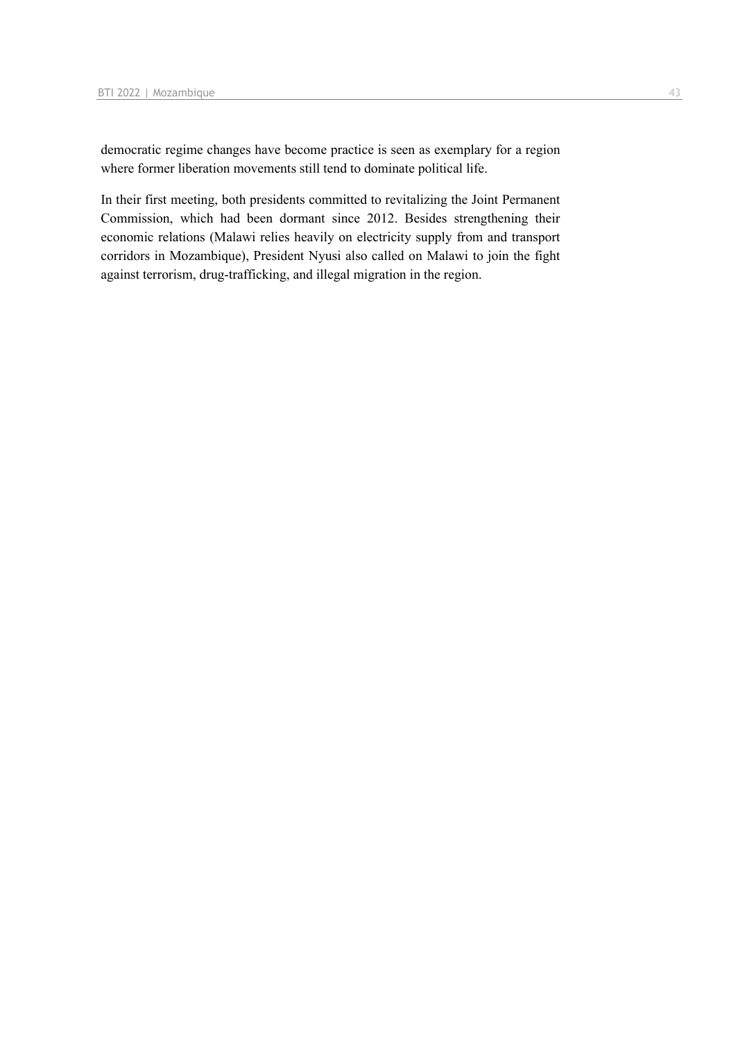democratic regime changes have become practice is seen as exemplary for a region where former liberation movements still tend to dominate political life.

In their first meeting, both presidents committed to revitalizing the Joint Permanent Commission, which had been dormant since 2012. Besides strengthening their economic relations (Malawi relies heavily on electricity supply from and transport corridors in Mozambique), President Nyusi also called on Malawi to join the fight against terrorism, drug-trafficking, and illegal migration in the region.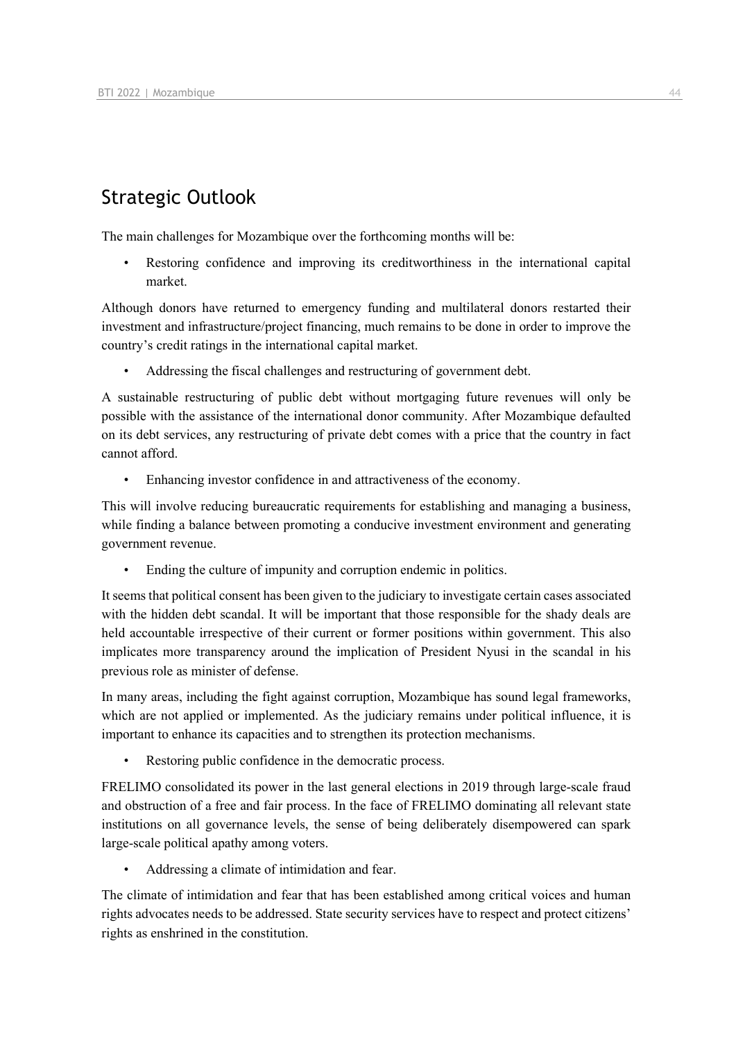## Strategic Outlook

The main challenges for Mozambique over the forthcoming months will be:

Restoring confidence and improving its creditworthiness in the international capital market.

Although donors have returned to emergency funding and multilateral donors restarted their investment and infrastructure/project financing, much remains to be done in order to improve the country's credit ratings in the international capital market.

• Addressing the fiscal challenges and restructuring of government debt.

A sustainable restructuring of public debt without mortgaging future revenues will only be possible with the assistance of the international donor community. After Mozambique defaulted on its debt services, any restructuring of private debt comes with a price that the country in fact cannot afford.

Enhancing investor confidence in and attractiveness of the economy.

This will involve reducing bureaucratic requirements for establishing and managing a business, while finding a balance between promoting a conducive investment environment and generating government revenue.

Ending the culture of impunity and corruption endemic in politics.

It seems that political consent has been given to the judiciary to investigate certain cases associated with the hidden debt scandal. It will be important that those responsible for the shady deals are held accountable irrespective of their current or former positions within government. This also implicates more transparency around the implication of President Nyusi in the scandal in his previous role as minister of defense.

In many areas, including the fight against corruption, Mozambique has sound legal frameworks, which are not applied or implemented. As the judiciary remains under political influence, it is important to enhance its capacities and to strengthen its protection mechanisms.

Restoring public confidence in the democratic process.

FRELIMO consolidated its power in the last general elections in 2019 through large-scale fraud and obstruction of a free and fair process. In the face of FRELIMO dominating all relevant state institutions on all governance levels, the sense of being deliberately disempowered can spark large-scale political apathy among voters.

• Addressing a climate of intimidation and fear.

The climate of intimidation and fear that has been established among critical voices and human rights advocates needs to be addressed. State security services have to respect and protect citizens' rights as enshrined in the constitution.